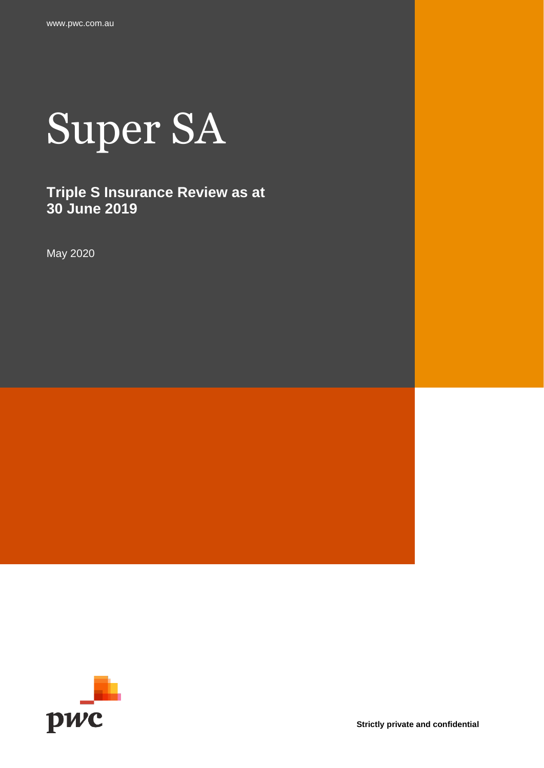

## **Triple S Insurance Review as at 30 June 2019**

May 2020



**Strictly private and confidential**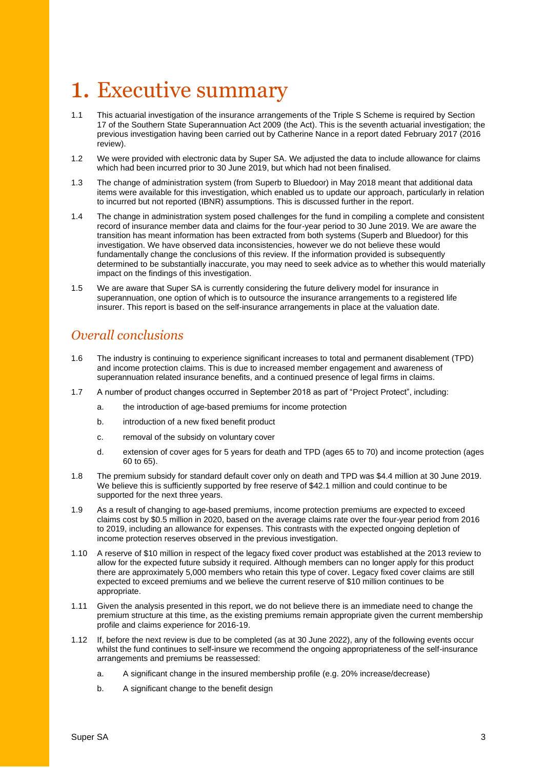## <span id="page-2-0"></span>1. Executive summary

- 1.1 This actuarial investigation of the insurance arrangements of the Triple S Scheme is required by Section 17 of the Southern State Superannuation Act 2009 (the Act). This is the seventh actuarial investigation; the previous investigation having been carried out by Catherine Nance in a report dated February 2017 (2016 review).
- 1.2 We were provided with electronic data by Super SA. We adjusted the data to include allowance for claims which had been incurred prior to 30 June 2019, but which had not been finalised.
- 1.3 The change of administration system (from Superb to Bluedoor) in May 2018 meant that additional data items were available for this investigation, which enabled us to update our approach, particularly in relation to incurred but not reported (IBNR) assumptions. This is discussed further in the report.
- 1.4 The change in administration system posed challenges for the fund in compiling a complete and consistent record of insurance member data and claims for the four-year period to 30 June 2019. We are aware the transition has meant information has been extracted from both systems (Superb and Bluedoor) for this investigation. We have observed data inconsistencies, however we do not believe these would fundamentally change the conclusions of this review. If the information provided is subsequently determined to be substantially inaccurate, you may need to seek advice as to whether this would materially impact on the findings of this investigation.
- 1.5 We are aware that Super SA is currently considering the future delivery model for insurance in superannuation, one option of which is to outsource the insurance arrangements to a registered life insurer. This report is based on the self-insurance arrangements in place at the valuation date.

#### *Overall conclusions*

- 1.6 The industry is continuing to experience significant increases to total and permanent disablement (TPD) and income protection claims. This is due to increased member engagement and awareness of superannuation related insurance benefits, and a continued presence of legal firms in claims.
- 1.7 A number of product changes occurred in September 2018 as part of "Project Protect", including:
	- a. the introduction of age-based premiums for income protection
	- b. introduction of a new fixed benefit product
	- c. removal of the subsidy on voluntary cover
	- d. extension of cover ages for 5 years for death and TPD (ages 65 to 70) and income protection (ages 60 to 65).
- 1.8 The premium subsidy for standard default cover only on death and TPD was \$4.4 million at 30 June 2019. We believe this is sufficiently supported by free reserve of \$42.1 million and could continue to be supported for the next three years.
- 1.9 As a result of changing to age-based premiums, income protection premiums are expected to exceed claims cost by \$0.5 million in 2020, based on the average claims rate over the four-year period from 2016 to 2019, including an allowance for expenses. This contrasts with the expected ongoing depletion of income protection reserves observed in the previous investigation.
- 1.10 A reserve of \$10 million in respect of the legacy fixed cover product was established at the 2013 review to allow for the expected future subsidy it required. Although members can no longer apply for this product there are approximately 5,000 members who retain this type of cover. Legacy fixed cover claims are still expected to exceed premiums and we believe the current reserve of \$10 million continues to be appropriate.
- 1.11 Given the analysis presented in this report, we do not believe there is an immediate need to change the premium structure at this time, as the existing premiums remain appropriate given the current membership profile and claims experience for 2016-19.
- 1.12 If, before the next review is due to be completed (as at 30 June 2022), any of the following events occur whilst the fund continues to self-insure we recommend the ongoing appropriateness of the self-insurance arrangements and premiums be reassessed:
	- a. A significant change in the insured membership profile (e.g. 20% increase/decrease)
	- b. A significant change to the benefit design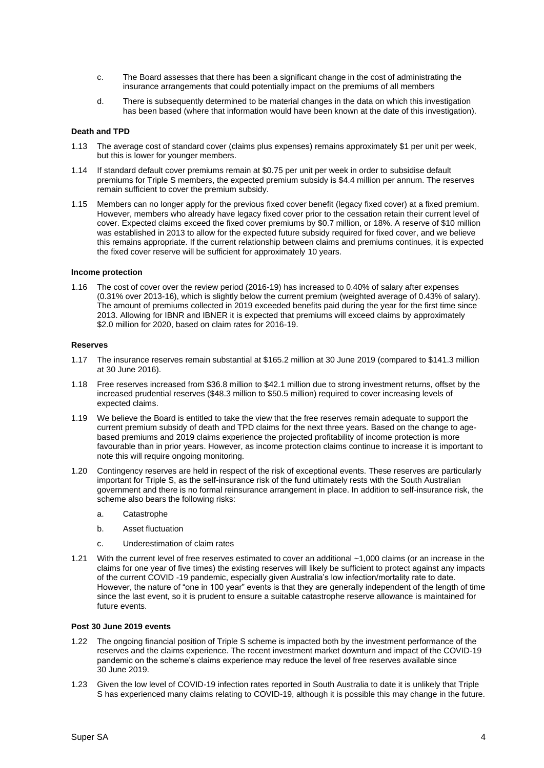- c. The Board assesses that there has been a significant change in the cost of administrating the insurance arrangements that could potentially impact on the premiums of all members
- d. There is subsequently determined to be material changes in the data on which this investigation has been based (where that information would have been known at the date of this investigation).

#### **Death and TPD**

- 1.13 The average cost of standard cover (claims plus expenses) remains approximately \$1 per unit per week, but this is lower for younger members.
- 1.14 If standard default cover premiums remain at \$0.75 per unit per week in order to subsidise default premiums for Triple S members, the expected premium subsidy is \$4.4 million per annum. The reserves remain sufficient to cover the premium subsidy.
- 1.15 Members can no longer apply for the previous fixed cover benefit (legacy fixed cover) at a fixed premium. However, members who already have legacy fixed cover prior to the cessation retain their current level of cover. Expected claims exceed the fixed cover premiums by \$0.7 million, or 18%. A reserve of \$10 million was established in 2013 to allow for the expected future subsidy required for fixed cover, and we believe this remains appropriate. If the current relationship between claims and premiums continues, it is expected the fixed cover reserve will be sufficient for approximately 10 years.

#### **Income protection**

1.16 The cost of cover over the review period (2016-19) has increased to 0.40% of salary after expenses (0.31% over 2013-16), which is slightly below the current premium (weighted average of 0.43% of salary). The amount of premiums collected in 2019 exceeded benefits paid during the year for the first time since 2013. Allowing for IBNR and IBNER it is expected that premiums will exceed claims by approximately \$2.0 million for 2020, based on claim rates for 2016-19.

#### **Reserves**

- 1.17 The insurance reserves remain substantial at \$165.2 million at 30 June 2019 (compared to \$141.3 million at 30 June 2016).
- 1.18 Free reserves increased from \$36.8 million to \$42.1 million due to strong investment returns, offset by the increased prudential reserves (\$48.3 million to \$50.5 million) required to cover increasing levels of expected claims.
- 1.19 We believe the Board is entitled to take the view that the free reserves remain adequate to support the current premium subsidy of death and TPD claims for the next three years. Based on the change to agebased premiums and 2019 claims experience the projected profitability of income protection is more favourable than in prior years. However, as income protection claims continue to increase it is important to note this will require ongoing monitoring.
- 1.20 Contingency reserves are held in respect of the risk of exceptional events. These reserves are particularly important for Triple S, as the self-insurance risk of the fund ultimately rests with the South Australian government and there is no formal reinsurance arrangement in place. In addition to self-insurance risk, the scheme also bears the following risks:
	- a. Catastrophe
	- b. Asset fluctuation
	- c. Underestimation of claim rates
- 1.21 With the current level of free reserves estimated to cover an additional ~1,000 claims (or an increase in the claims for one year of five times) the existing reserves will likely be sufficient to protect against any impacts of the current COVID -19 pandemic, especially given Australia's low infection/mortality rate to date. However, the nature of "one in 100 year" events is that they are generally independent of the length of time since the last event, so it is prudent to ensure a suitable catastrophe reserve allowance is maintained for future events.

#### **Post 30 June 2019 events**

- 1.22 The ongoing financial position of Triple S scheme is impacted both by the investment performance of the reserves and the claims experience. The recent investment market downturn and impact of the COVID-19 pandemic on the scheme's claims experience may reduce the level of free reserves available since 30 June 2019.
- 1.23 Given the low level of COVID-19 infection rates reported in South Australia to date it is unlikely that Triple S has experienced many claims relating to COVID-19, although it is possible this may change in the future.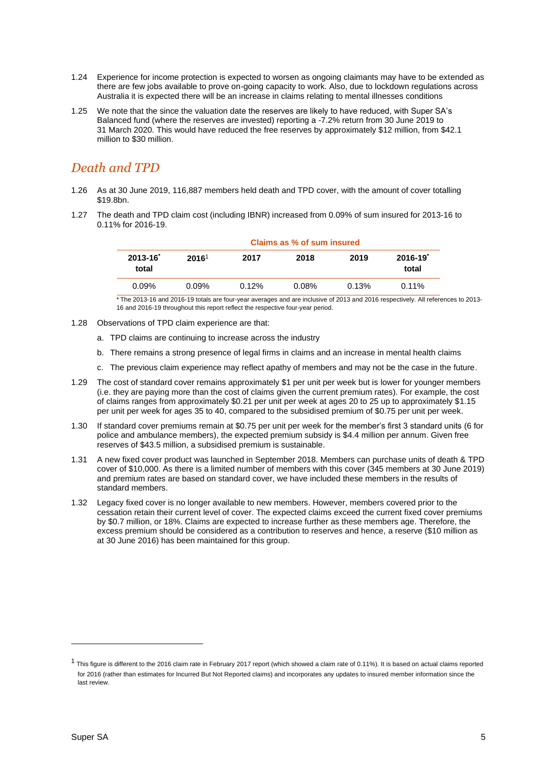- 1.24 Experience for income protection is expected to worsen as ongoing claimants may have to be extended as there are few jobs available to prove on-going capacity to work. Also, due to lockdown regulations across Australia it is expected there will be an increase in claims relating to mental illnesses conditions
- 1.25 We note that the since the valuation date the reserves are likely to have reduced, with Super SA's Balanced fund (where the reserves are invested) reporting a -7.2% return from 30 June 2019 to 31 March 2020. This would have reduced the free reserves by approximately \$12 million, from \$42.1 million to \$30 million.

#### *Death and TPD*

- 1.26 As at 30 June 2019, 116,887 members held death and TPD cover, with the amount of cover totalling \$19.8bn.
- 1.27 The death and TPD claim cost (including IBNR) increased from 0.09% of sum insured for 2013-16 to 0.11% for 2016-19.

|                        | Claims as % of sum insured |       |       |       |                      |  |  |  |
|------------------------|----------------------------|-------|-------|-------|----------------------|--|--|--|
| $2013 - 16^*$<br>total | 2016 <sup>1</sup>          | 2017  | 2018  | 2019  | $2016 - 19$<br>total |  |  |  |
| 0.09%                  | $0.09\%$                   | 0.12% | 0.08% | 0.13% | $0.11\%$             |  |  |  |

\* The 2013-16 and 2016-19 totals are four-year averages and are inclusive of 2013 and 2016 respectively. All references to 2013- 16 and 2016-19 throughout this report reflect the respective four-year period.

- 1.28 Observations of TPD claim experience are that:
	- a. TPD claims are continuing to increase across the industry
	- b. There remains a strong presence of legal firms in claims and an increase in mental health claims
	- c. The previous claim experience may reflect apathy of members and may not be the case in the future.
- 1.29 The cost of standard cover remains approximately \$1 per unit per week but is lower for younger members (i.e. they are paying more than the cost of claims given the current premium rates). For example, the cost of claims ranges from approximately \$0.21 per unit per week at ages 20 to 25 up to approximately \$1.15 per unit per week for ages 35 to 40, compared to the subsidised premium of \$0.75 per unit per week.
- 1.30 If standard cover premiums remain at \$0.75 per unit per week for the member's first 3 standard units (6 for police and ambulance members), the expected premium subsidy is \$4.4 million per annum. Given free reserves of \$43.5 million, a subsidised premium is sustainable.
- 1.31 A new fixed cover product was launched in September 2018. Members can purchase units of death & TPD cover of \$10,000. As there is a limited number of members with this cover (345 members at 30 June 2019) and premium rates are based on standard cover, we have included these members in the results of standard members.
- 1.32 Legacy fixed cover is no longer available to new members. However, members covered prior to the cessation retain their current level of cover. The expected claims exceed the current fixed cover premiums by \$0.7 million, or 18%. Claims are expected to increase further as these members age. Therefore, the excess premium should be considered as a contribution to reserves and hence, a reserve (\$10 million as at 30 June 2016) has been maintained for this group.

 $1$  This figure is different to the 2016 claim rate in February 2017 report (which showed a claim rate of 0.11%). It is based on actual claims reported for 2016 (rather than estimates for Incurred But Not Reported claims) and incorporates any updates to insured member information since the last review.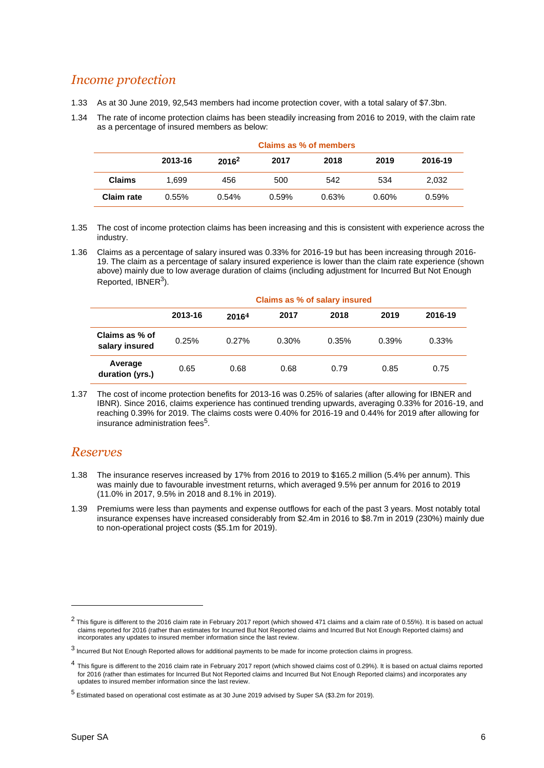### *Income protection*

- 1.33 As at 30 June 2019, 92,543 members had income protection cover, with a total salary of \$7.3bn.
- 1.34 The rate of income protection claims has been steadily increasing from 2016 to 2019, with the claim rate as a percentage of insured members as below:

|               | Claims as % of members |          |       |       |       |         |  |  |  |
|---------------|------------------------|----------|-------|-------|-------|---------|--|--|--|
|               | 2013-16                | $2016^2$ | 2017  | 2018  | 2019  | 2016-19 |  |  |  |
| <b>Claims</b> | 1.699                  | 456      | 500   | 542   | 534   | 2.032   |  |  |  |
| Claim rate    | 0.55%                  | 0.54%    | 0.59% | 0.63% | 0.60% | 0.59%   |  |  |  |

- 1.35 The cost of income protection claims has been increasing and this is consistent with experience across the industry.
- 1.36 Claims as a percentage of salary insured was 0.33% for 2016-19 but has been increasing through 2016- 19. The claim as a percentage of salary insured experience is lower than the claim rate experience (shown above) mainly due to low average duration of claims (including adjustment for Incurred But Not Enough Reported, IBNER<sup>3</sup>).

|                                  | Claims as % of salary insured |       |          |       |       |          |  |  |  |
|----------------------------------|-------------------------------|-------|----------|-------|-------|----------|--|--|--|
|                                  | 2013-16                       | 20164 | 2017     | 2018  | 2019  | 2016-19  |  |  |  |
| Claims as % of<br>salary insured | 0.25%                         | 0.27% | $0.30\%$ | 0.35% | 0.39% | $0.33\%$ |  |  |  |
| Average<br>duration (yrs.)       | 0.65                          | 0.68  | 0.68     | 0.79  | 0.85  | 0.75     |  |  |  |

1.37 The cost of income protection benefits for 2013-16 was 0.25% of salaries (after allowing for IBNER and IBNR). Since 2016, claims experience has continued trending upwards, averaging 0.33% for 2016-19, and reaching 0.39% for 2019. The claims costs were 0.40% for 2016-19 and 0.44% for 2019 after allowing for insurance administration fees<sup>5</sup>.

#### *Reserves*

- 1.38 The insurance reserves increased by 17% from 2016 to 2019 to \$165.2 million (5.4% per annum). This was mainly due to favourable investment returns, which averaged 9.5% per annum for 2016 to 2019 (11.0% in 2017, 9.5% in 2018 and 8.1% in 2019).
- 1.39 Premiums were less than payments and expense outflows for each of the past 3 years. Most notably total insurance expenses have increased considerably from \$2.4m in 2016 to \$8.7m in 2019 (230%) mainly due to non-operational project costs (\$5.1m for 2019).

 $^2$  This figure is different to the 2016 claim rate in February 2017 report (which showed 471 claims and a claim rate of 0.55%). It is based on actual claims reported for 2016 (rather than estimates for Incurred But Not Reported claims and Incurred But Not Enough Reported claims) and incorporates any updates to insured member information since the last review.

<sup>3</sup> Incurred But Not Enough Reported allows for additional payments to be made for income protection claims in progress.

<sup>4</sup> This figure is different to the 2016 claim rate in February 2017 report (which showed claims cost of 0.29%). It is based on actual claims reported for 2016 (rather than estimates for Incurred But Not Reported claims and Incurred But Not Enough Reported claims) and incorporates any updates to insured member information since the last review.

<sup>5</sup> Estimated based on operational cost estimate as at 30 June 2019 advised by Super SA (\$3.2m for 2019).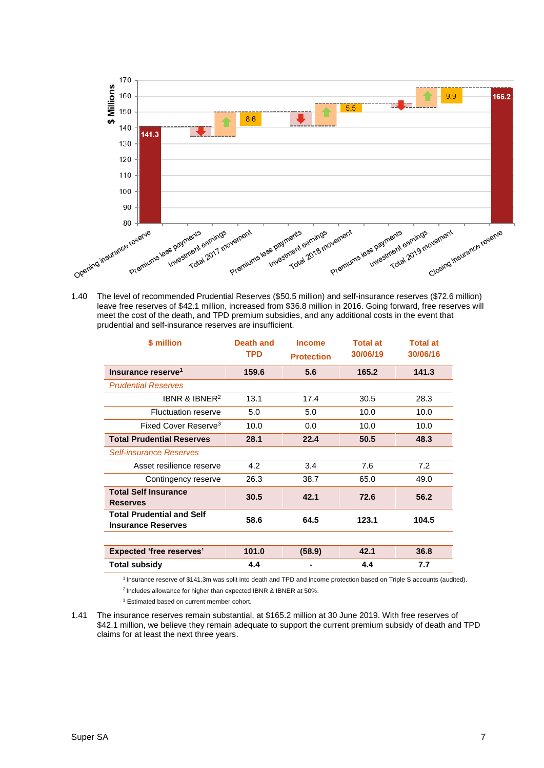

1.40 The level of recommended Prudential Reserves (\$50.5 million) and self-insurance reserves (\$72.6 million) leave free reserves of \$42.1 million, increased from \$36.8 million in 2016. Going forward, free reserves will meet the cost of the death, and TPD premium subsidies, and any additional costs in the event that prudential and self-insurance reserves are insufficient.

| \$ million                                                    | Death and<br><b>TPD</b> | <b>Income</b><br><b>Protection</b> | <b>Total at</b><br>30/06/19 | <b>Total at</b><br>30/06/16 |
|---------------------------------------------------------------|-------------------------|------------------------------------|-----------------------------|-----------------------------|
| Insurance reserve <sup>1</sup>                                | 159.6                   | 5.6                                | 165.2                       | 141.3                       |
| <b>Prudential Reserves</b>                                    |                         |                                    |                             |                             |
| IBNR & IBNER <sup>2</sup>                                     | 13.1                    | 17.4                               | 30.5                        | 28.3                        |
| <b>Fluctuation reserve</b>                                    | 5.0                     | 5.0                                | 10.0                        | 10.0                        |
| Fixed Cover Reserve <sup>3</sup>                              | 10.0                    | 0.0                                | 10.0                        | 10.0                        |
| <b>Total Prudential Reserves</b>                              | 28.1                    | 22.4                               | 50.5                        | 48.3                        |
| <b>Self-insurance Reserves</b>                                |                         |                                    |                             |                             |
| Asset resilience reserve                                      | 4.2                     | 3.4                                | 7.6                         | 7.2                         |
| Contingency reserve                                           | 26.3                    | 38.7                               | 65.0                        | 49.0                        |
| <b>Total Self Insurance</b><br><b>Reserves</b>                | 30.5                    | 42.1                               | 72.6                        | 56.2                        |
| <b>Total Prudential and Self</b><br><b>Insurance Reserves</b> | 58.6                    | 64.5                               | 123.1                       | 104.5                       |
|                                                               |                         |                                    |                             |                             |
| <b>Expected 'free reserves'</b>                               | 101.0                   | (58.9)                             | 42.1                        | 36.8                        |
| <b>Total subsidy</b>                                          | 4.4                     |                                    | 4.4                         | 7.7                         |

<sup>1</sup>Insurance reserve of \$141.3m was split into death and TPD and income protection based on Triple S accounts (audited).

 $2$  Includes allowance for higher than expected IBNR & IBNER at 50%.

<sup>3</sup> Estimated based on current member cohort.

1.41 The insurance reserves remain substantial, at \$165.2 million at 30 June 2019. With free reserves of \$42.1 million, we believe they remain adequate to support the current premium subsidy of death and TPD claims for at least the next three years.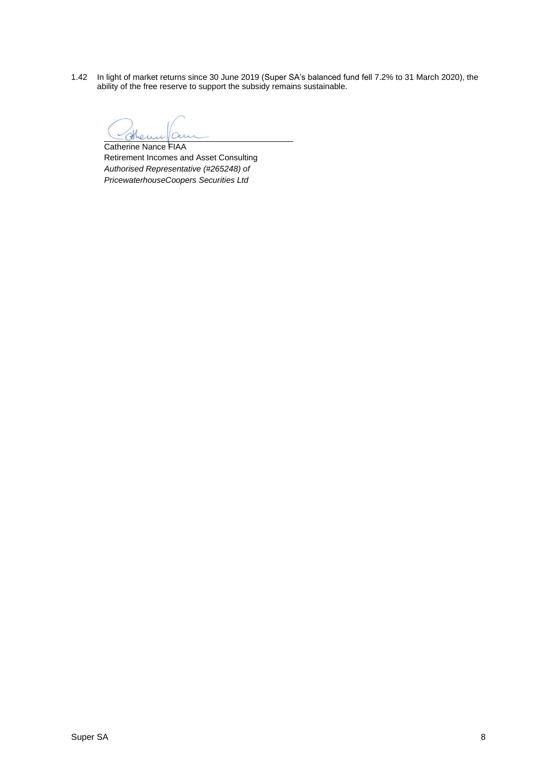1.42 In light of market returns since 30 June 2019 (Super SA's balanced fund fell 7.2% to 31 March 2020), the ability of the free reserve to support the subsidy remains sustainable.

 $\overline{\mathcal{A}}$ 

Catherine Nance FIAA Retirement Incomes and Asset Consulting *Authorised Representative (#265248) of PricewaterhouseCoopers Securities Ltd*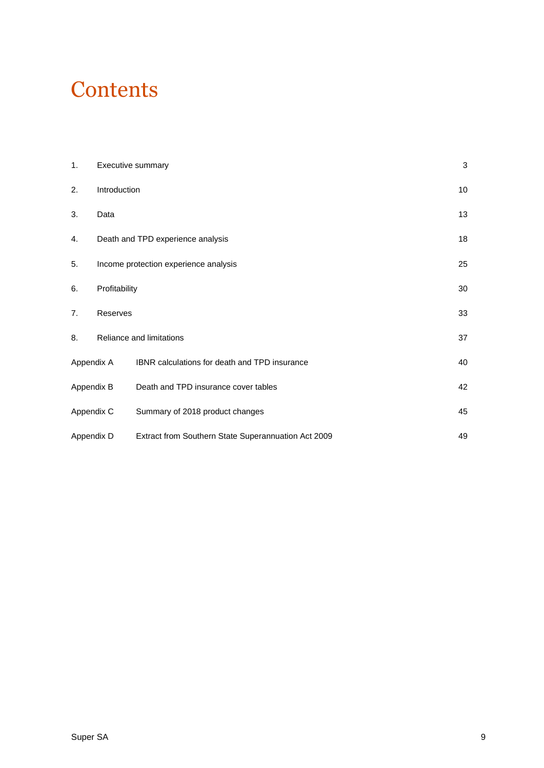## **Contents**

| 1.         | Executive summary |                                                     | 3  |  |
|------------|-------------------|-----------------------------------------------------|----|--|
| 2.         | Introduction      |                                                     | 10 |  |
| 3.         | Data              |                                                     | 13 |  |
| 4.         |                   | Death and TPD experience analysis                   | 18 |  |
| 5.         |                   | Income protection experience analysis               | 25 |  |
| 6.         | Profitability     |                                                     |    |  |
| 7.         | Reserves          |                                                     | 33 |  |
| 8.         |                   | Reliance and limitations                            | 37 |  |
| Appendix A |                   | IBNR calculations for death and TPD insurance       | 40 |  |
| Appendix B |                   | Death and TPD insurance cover tables                | 42 |  |
| Appendix C |                   | Summary of 2018 product changes                     | 45 |  |
| Appendix D |                   | Extract from Southern State Superannuation Act 2009 | 49 |  |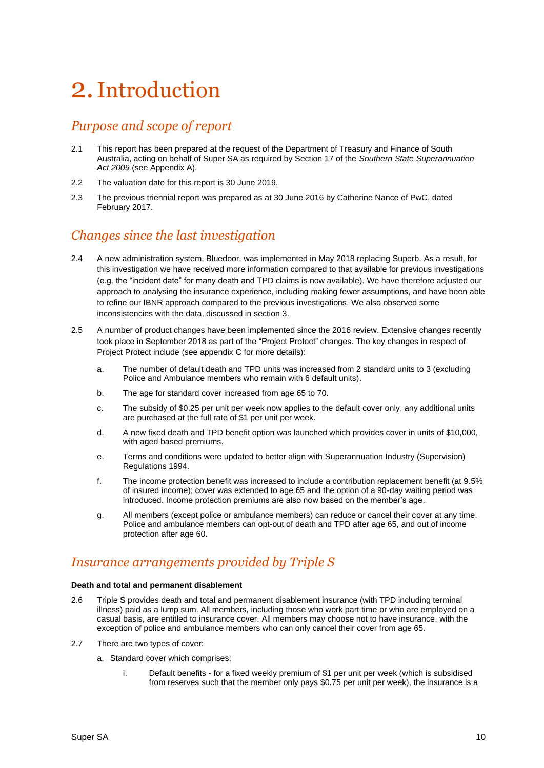## <span id="page-9-0"></span>2.Introduction

### *Purpose and scope of report*

- 2.1 This report has been prepared at the request of the Department of Treasury and Finance of South Australia, acting on behalf of Super SA as required by Section 17 of the *Southern State Superannuation Act 2009* (see Appendix A).
- 2.2 The valuation date for this report is 30 June 2019.
- 2.3 The previous triennial report was prepared as at 30 June 2016 by Catherine Nance of PwC, dated February 2017.

### *Changes since the last investigation*

- 2.4 A new administration system, Bluedoor, was implemented in May 2018 replacing Superb. As a result, for this investigation we have received more information compared to that available for previous investigations (e.g. the "incident date" for many death and TPD claims is now available). We have therefore adjusted our approach to analysing the insurance experience, including making fewer assumptions, and have been able to refine our IBNR approach compared to the previous investigations. We also observed some inconsistencies with the data, discussed in section 3.
- 2.5 A number of product changes have been implemented since the 2016 review. Extensive changes recently took place in September 2018 as part of the "Project Protect" changes. The key changes in respect of Project Protect include (see appendix C for more details):
	- a. The number of default death and TPD units was increased from 2 standard units to 3 (excluding Police and Ambulance members who remain with 6 default units).
	- b. The age for standard cover increased from age 65 to 70.
	- c. The subsidy of \$0.25 per unit per week now applies to the default cover only, any additional units are purchased at the full rate of \$1 per unit per week.
	- d. A new fixed death and TPD benefit option was launched which provides cover in units of \$10,000, with aged based premiums.
	- e. Terms and conditions were updated to better align with Superannuation Industry (Supervision) Regulations 1994.
	- f. The income protection benefit was increased to include a contribution replacement benefit (at 9.5% of insured income); cover was extended to age 65 and the option of a 90-day waiting period was introduced. Income protection premiums are also now based on the member's age.
	- g. All members (except police or ambulance members) can reduce or cancel their cover at any time. Police and ambulance members can opt-out of death and TPD after age 65, and out of income protection after age 60.

### *Insurance arrangements provided by Triple S*

#### **Death and total and permanent disablement**

- 2.6 Triple S provides death and total and permanent disablement insurance (with TPD including terminal illness) paid as a lump sum. All members, including those who work part time or who are employed on a casual basis, are entitled to insurance cover. All members may choose not to have insurance, with the exception of police and ambulance members who can only cancel their cover from age 65.
- 2.7 There are two types of cover:
	- a. Standard cover which comprises:
		- i. Default benefits for a fixed weekly premium of \$1 per unit per week (which is subsidised from reserves such that the member only pays \$0.75 per unit per week), the insurance is a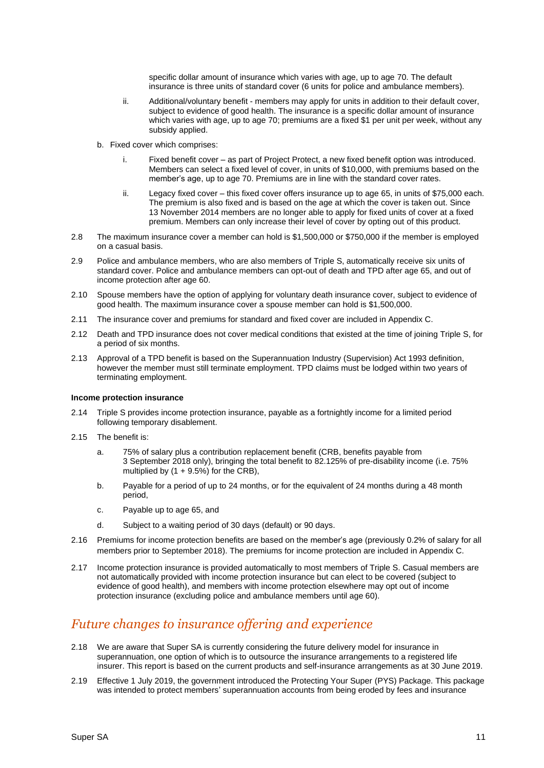specific dollar amount of insurance which varies with age, up to age 70. The default insurance is three units of standard cover (6 units for police and ambulance members).

- ii. Additional/voluntary benefit members may apply for units in addition to their default cover, subject to evidence of good health. The insurance is a specific dollar amount of insurance which varies with age, up to age 70; premiums are a fixed \$1 per unit per week, without any subsidy applied.
- b. Fixed cover which comprises:
	- i. Fixed benefit cover as part of Project Protect, a new fixed benefit option was introduced. Members can select a fixed level of cover, in units of \$10,000, with premiums based on the member's age, up to age 70. Premiums are in line with the standard cover rates.
	- ii. Legacy fixed cover this fixed cover offers insurance up to age 65, in units of \$75,000 each. The premium is also fixed and is based on the age at which the cover is taken out. Since 13 November 2014 members are no longer able to apply for fixed units of cover at a fixed premium. Members can only increase their level of cover by opting out of this product.
- 2.8 The maximum insurance cover a member can hold is \$1,500,000 or \$750,000 if the member is employed on a casual basis.
- 2.9 Police and ambulance members, who are also members of Triple S, automatically receive six units of standard cover. Police and ambulance members can opt-out of death and TPD after age 65, and out of income protection after age 60.
- 2.10 Spouse members have the option of applying for voluntary death insurance cover, subject to evidence of good health. The maximum insurance cover a spouse member can hold is \$1,500,000.
- 2.11 The insurance cover and premiums for standard and fixed cover are included in Appendix C.
- 2.12 Death and TPD insurance does not cover medical conditions that existed at the time of joining Triple S, for a period of six months.
- 2.13 Approval of a TPD benefit is based on the Superannuation Industry (Supervision) Act 1993 definition, however the member must still terminate employment. TPD claims must be lodged within two years of terminating employment.

#### **Income protection insurance**

- 2.14 Triple S provides income protection insurance, payable as a fortnightly income for a limited period following temporary disablement.
- 2.15 The benefit is:
	- a. 75% of salary plus a contribution replacement benefit (CRB, benefits payable from 3 September 2018 only), bringing the total benefit to 82.125% of pre-disability income (i.e. 75% multiplied by  $(1 + 9.5\%)$  for the CRB),
	- b. Payable for a period of up to 24 months, or for the equivalent of 24 months during a 48 month period,
	- c. Payable up to age 65, and
	- d. Subject to a waiting period of 30 days (default) or 90 days.
- 2.16 Premiums for income protection benefits are based on the member's age (previously 0.2% of salary for all members prior to September 2018). The premiums for income protection are included in Appendix C.
- 2.17 Income protection insurance is provided automatically to most members of Triple S. Casual members are not automatically provided with income protection insurance but can elect to be covered (subject to evidence of good health), and members with income protection elsewhere may opt out of income protection insurance (excluding police and ambulance members until age 60).

#### *Future changes to insurance offering and experience*

- 2.18 We are aware that Super SA is currently considering the future delivery model for insurance in superannuation, one option of which is to outsource the insurance arrangements to a registered life insurer. This report is based on the current products and self-insurance arrangements as at 30 June 2019.
- 2.19 Effective 1 July 2019, the government introduced the Protecting Your Super (PYS) Package. This package was intended to protect members' superannuation accounts from being eroded by fees and insurance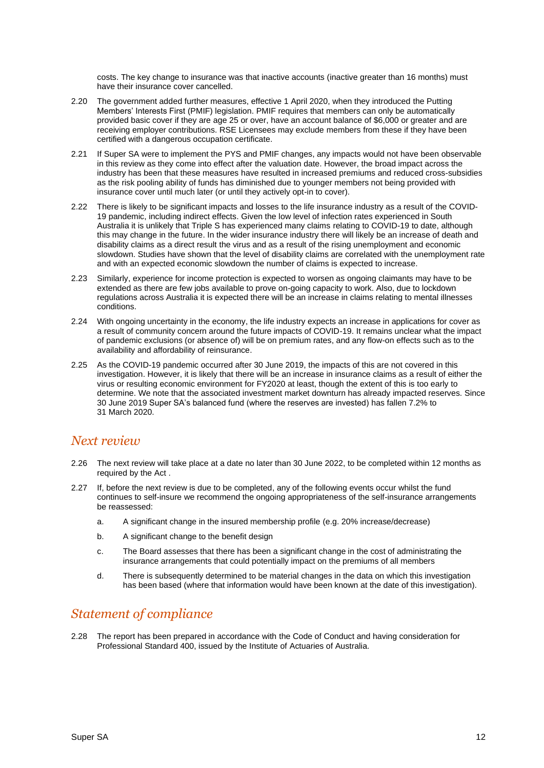costs. The key change to insurance was that inactive accounts (inactive greater than 16 months) must have their insurance cover cancelled.

- 2.20 The government added further measures, effective 1 April 2020, when they introduced the Putting Members' Interests First (PMIF) legislation. PMIF requires that members can only be automatically provided basic cover if they are age 25 or over, have an account balance of \$6,000 or greater and are receiving employer contributions. RSE Licensees may exclude members from these if they have been certified with a dangerous occupation certificate.
- 2.21 If Super SA were to implement the PYS and PMIF changes, any impacts would not have been observable in this review as they come into effect after the valuation date. However, the broad impact across the industry has been that these measures have resulted in increased premiums and reduced cross-subsidies as the risk pooling ability of funds has diminished due to younger members not being provided with insurance cover until much later (or until they actively opt-in to cover).
- 2.22 There is likely to be significant impacts and losses to the life insurance industry as a result of the COVID-19 pandemic, including indirect effects. Given the low level of infection rates experienced in South Australia it is unlikely that Triple S has experienced many claims relating to COVID-19 to date, although this may change in the future. In the wider insurance industry there will likely be an increase of death and disability claims as a direct result the virus and as a result of the rising unemployment and economic slowdown. Studies have shown that the level of disability claims are correlated with the unemployment rate and with an expected economic slowdown the number of claims is expected to increase.
- 2.23 Similarly, experience for income protection is expected to worsen as ongoing claimants may have to be extended as there are few jobs available to prove on-going capacity to work. Also, due to lockdown regulations across Australia it is expected there will be an increase in claims relating to mental illnesses conditions.
- 2.24 With ongoing uncertainty in the economy, the life industry expects an increase in applications for cover as a result of community concern around the future impacts of COVID-19. It remains unclear what the impact of pandemic exclusions (or absence of) will be on premium rates, and any flow-on effects such as to the availability and affordability of reinsurance.
- 2.25 As the COVID-19 pandemic occurred after 30 June 2019, the impacts of this are not covered in this investigation. However, it is likely that there will be an increase in insurance claims as a result of either the virus or resulting economic environment for FY2020 at least, though the extent of this is too early to determine. We note that the associated investment market downturn has already impacted reserves. Since 30 June 2019 Super SA's balanced fund (where the reserves are invested) has fallen 7.2% to 31 March 2020.

#### *Next review*

- 2.26 The next review will take place at a date no later than 30 June 2022, to be completed within 12 months as required by the Act .
- 2.27 If, before the next review is due to be completed, any of the following events occur whilst the fund continues to self-insure we recommend the ongoing appropriateness of the self-insurance arrangements be reassessed:
	- a. A significant change in the insured membership profile (e.g. 20% increase/decrease)
	- b. A significant change to the benefit design
	- c. The Board assesses that there has been a significant change in the cost of administrating the insurance arrangements that could potentially impact on the premiums of all members
	- d. There is subsequently determined to be material changes in the data on which this investigation has been based (where that information would have been known at the date of this investigation).

#### *Statement of compliance*

2.28 The report has been prepared in accordance with the Code of Conduct and having consideration for Professional Standard 400, issued by the Institute of Actuaries of Australia.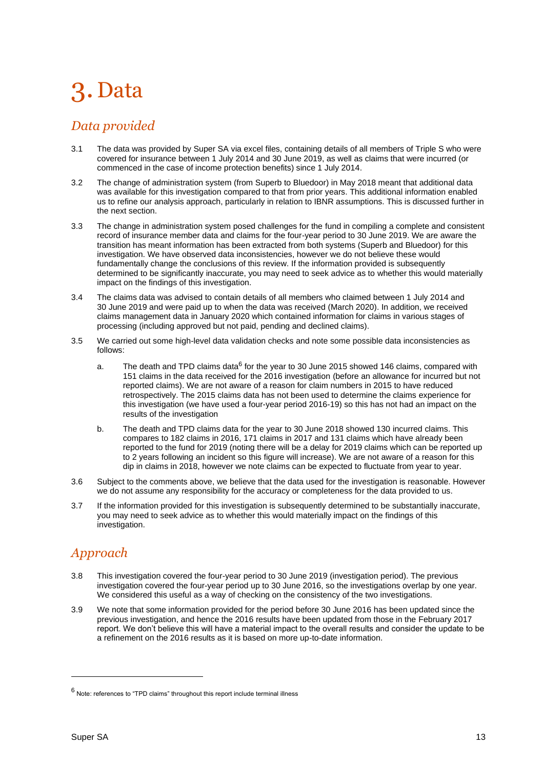## <span id="page-12-0"></span>3. Data

### *Data provided*

- 3.1 The data was provided by Super SA via excel files, containing details of all members of Triple S who were covered for insurance between 1 July 2014 and 30 June 2019, as well as claims that were incurred (or commenced in the case of income protection benefits) since 1 July 2014.
- 3.2 The change of administration system (from Superb to Bluedoor) in May 2018 meant that additional data was available for this investigation compared to that from prior years. This additional information enabled us to refine our analysis approach, particularly in relation to IBNR assumptions. This is discussed further in the next section.
- 3.3 The change in administration system posed challenges for the fund in compiling a complete and consistent record of insurance member data and claims for the four-year period to 30 June 2019. We are aware the transition has meant information has been extracted from both systems (Superb and Bluedoor) for this investigation. We have observed data inconsistencies, however we do not believe these would fundamentally change the conclusions of this review. If the information provided is subsequently determined to be significantly inaccurate, you may need to seek advice as to whether this would materially impact on the findings of this investigation.
- 3.4 The claims data was advised to contain details of all members who claimed between 1 July 2014 and 30 June 2019 and were paid up to when the data was received (March 2020). In addition, we received claims management data in January 2020 which contained information for claims in various stages of processing (including approved but not paid, pending and declined claims).
- 3.5 We carried out some high-level data validation checks and note some possible data inconsistencies as follows:
	- a. The death and TPD claims data<sup>6</sup> for the year to 30 June 2015 showed 146 claims, compared with 151 claims in the data received for the 2016 investigation (before an allowance for incurred but not reported claims). We are not aware of a reason for claim numbers in 2015 to have reduced retrospectively. The 2015 claims data has not been used to determine the claims experience for this investigation (we have used a four-year period 2016-19) so this has not had an impact on the results of the investigation
	- b. The death and TPD claims data for the year to 30 June 2018 showed 130 incurred claims. This compares to 182 claims in 2016, 171 claims in 2017 and 131 claims which have already been reported to the fund for 2019 (noting there will be a delay for 2019 claims which can be reported up to 2 years following an incident so this figure will increase). We are not aware of a reason for this dip in claims in 2018, however we note claims can be expected to fluctuate from year to year.
- 3.6 Subject to the comments above, we believe that the data used for the investigation is reasonable. However we do not assume any responsibility for the accuracy or completeness for the data provided to us.
- 3.7 If the information provided for this investigation is subsequently determined to be substantially inaccurate, you may need to seek advice as to whether this would materially impact on the findings of this investigation.

## *Approach*

- 3.8 This investigation covered the four-year period to 30 June 2019 (investigation period). The previous investigation covered the four-year period up to 30 June 2016, so the investigations overlap by one year. We considered this useful as a way of checking on the consistency of the two investigations.
- 3.9 We note that some information provided for the period before 30 June 2016 has been updated since the previous investigation, and hence the 2016 results have been updated from those in the February 2017 report. We don't believe this will have a material impact to the overall results and consider the update to be a refinement on the 2016 results as it is based on more up-to-date information.

 $6$  Note: references to "TPD claims" throughout this report include terminal illness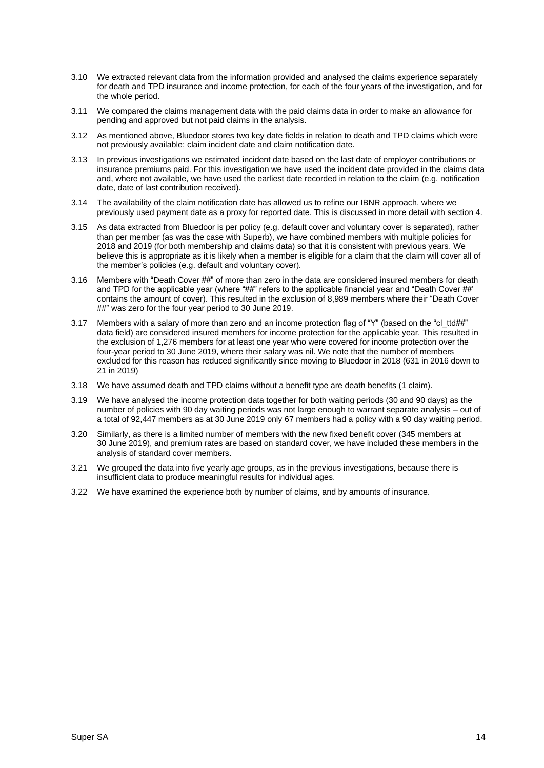- 3.10 We extracted relevant data from the information provided and analysed the claims experience separately for death and TPD insurance and income protection, for each of the four years of the investigation, and for the whole period.
- 3.11 We compared the claims management data with the paid claims data in order to make an allowance for pending and approved but not paid claims in the analysis.
- 3.12 As mentioned above, Bluedoor stores two key date fields in relation to death and TPD claims which were not previously available; claim incident date and claim notification date.
- 3.13 In previous investigations we estimated incident date based on the last date of employer contributions or insurance premiums paid. For this investigation we have used the incident date provided in the claims data and, where not available, we have used the earliest date recorded in relation to the claim (e.g. notification date, date of last contribution received).
- 3.14 The availability of the claim notification date has allowed us to refine our IBNR approach, where we previously used payment date as a proxy for reported date. This is discussed in more detail with section 4.
- 3.15 As data extracted from Bluedoor is per policy (e.g. default cover and voluntary cover is separated), rather than per member (as was the case with Superb), we have combined members with multiple policies for 2018 and 2019 (for both membership and claims data) so that it is consistent with previous years. We believe this is appropriate as it is likely when a member is eligible for a claim that the claim will cover all of the member's policies (e.g. default and voluntary cover).
- 3.16 Members with "Death Cover ##" of more than zero in the data are considered insured members for death and TPD for the applicable year (where "##" refers to the applicable financial year and "Death Cover ##' contains the amount of cover). This resulted in the exclusion of 8,989 members where their "Death Cover ##" was zero for the four year period to 30 June 2019.
- 3.17 Members with a salary of more than zero and an income protection flag of "Y" (based on the "cl\_ttd##" data field) are considered insured members for income protection for the applicable year. This resulted in the exclusion of 1,276 members for at least one year who were covered for income protection over the four-year period to 30 June 2019, where their salary was nil. We note that the number of members excluded for this reason has reduced significantly since moving to Bluedoor in 2018 (631 in 2016 down to 21 in 2019)
- 3.18 We have assumed death and TPD claims without a benefit type are death benefits (1 claim).
- 3.19 We have analysed the income protection data together for both waiting periods (30 and 90 days) as the number of policies with 90 day waiting periods was not large enough to warrant separate analysis – out of a total of 92,447 members as at 30 June 2019 only 67 members had a policy with a 90 day waiting period.
- 3.20 Similarly, as there is a limited number of members with the new fixed benefit cover (345 members at 30 June 2019), and premium rates are based on standard cover, we have included these members in the analysis of standard cover members.
- 3.21 We grouped the data into five yearly age groups, as in the previous investigations, because there is insufficient data to produce meaningful results for individual ages.
- 3.22 We have examined the experience both by number of claims, and by amounts of insurance.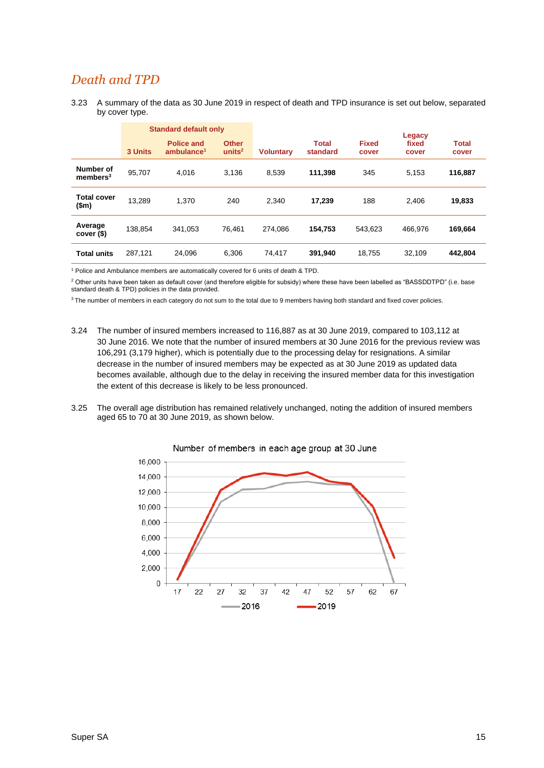### *Death and TPD*

3.23 A summary of the data as 30 June 2019 in respect of death and TPD insurance is set out below, separated by cover type.

|                                   | <b>Standard default only</b> |                                             |                                    |                  |                          |                       | Legacy         |                       |  |
|-----------------------------------|------------------------------|---------------------------------------------|------------------------------------|------------------|--------------------------|-----------------------|----------------|-----------------------|--|
|                                   | 3 Units                      | <b>Police and</b><br>ambulance <sup>1</sup> | <b>Other</b><br>units <sup>2</sup> | <b>Voluntary</b> | <b>Total</b><br>standard | <b>Fixed</b><br>cover | fixed<br>cover | <b>Total</b><br>cover |  |
| Number of<br>members <sup>3</sup> | 95,707                       | 4,016                                       | 3,136                              | 8,539            | 111,398                  | 345                   | 5,153          | 116,887               |  |
| <b>Total cover</b><br>\$m\$       | 13.289                       | 1.370                                       | 240                                | 2.340            | 17.239                   | 188                   | 2.406          | 19,833                |  |
| Average<br>cover (\$)             | 138.854                      | 341.053                                     | 76.461                             | 274.086          | 154.753                  | 543.623               | 466.976        | 169,664               |  |
| <b>Total units</b>                | 287,121                      | 24.096                                      | 6,306                              | 74.417           | 391,940                  | 18,755                | 32,109         | 442,804               |  |

<sup>1</sup> Police and Ambulance members are automatically covered for 6 units of death & TPD.

<sup>2</sup> Other units have been taken as default cover (and therefore eligible for subsidy) where these have been labelled as "BASSDDTPD" (i.e. base standard death & TPD) policies in the data provided.

<sup>3</sup> The number of members in each category do not sum to the total due to 9 members having both standard and fixed cover policies.

- 3.24 The number of insured members increased to 116,887 as at 30 June 2019, compared to 103,112 at 30 June 2016. We note that the number of insured members at 30 June 2016 for the previous review was 106,291 (3,179 higher), which is potentially due to the processing delay for resignations. A similar decrease in the number of insured members may be expected as at 30 June 2019 as updated data becomes available, although due to the delay in receiving the insured member data for this investigation the extent of this decrease is likely to be less pronounced.
- 3.25 The overall age distribution has remained relatively unchanged, noting the addition of insured members aged 65 to 70 at 30 June 2019, as shown below.



Number of members in each age group at 30 June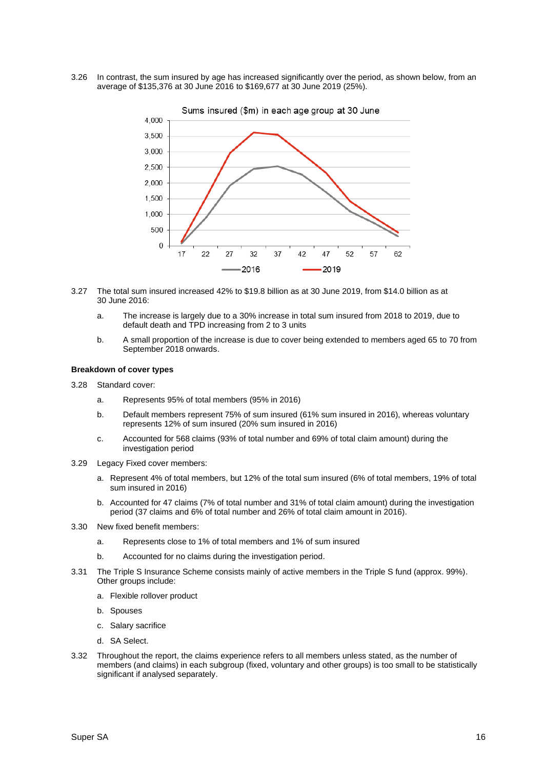3.26 In contrast, the sum insured by age has increased significantly over the period, as shown below, from an average of \$135,376 at 30 June 2016 to \$169,677 at 30 June 2019 (25%).



- 3.27 The total sum insured increased 42% to \$19.8 billion as at 30 June 2019, from \$14.0 billion as at 30 June 2016:
	- a. The increase is largely due to a 30% increase in total sum insured from 2018 to 2019, due to default death and TPD increasing from 2 to 3 units
	- b. A small proportion of the increase is due to cover being extended to members aged 65 to 70 from September 2018 onwards.

#### **Breakdown of cover types**

- 3.28 Standard cover:
	- a. Represents 95% of total members (95% in 2016)
	- b. Default members represent 75% of sum insured (61% sum insured in 2016), whereas voluntary represents 12% of sum insured (20% sum insured in 2016)
	- c. Accounted for 568 claims (93% of total number and 69% of total claim amount) during the investigation period
- 3.29 Legacy Fixed cover members:
	- a. Represent 4% of total members, but 12% of the total sum insured (6% of total members, 19% of total sum insured in 2016)
	- b. Accounted for 47 claims (7% of total number and 31% of total claim amount) during the investigation period (37 claims and 6% of total number and 26% of total claim amount in 2016).
- 3.30 New fixed benefit members:
	- a. Represents close to 1% of total members and 1% of sum insured
	- b. Accounted for no claims during the investigation period.
- 3.31 The Triple S Insurance Scheme consists mainly of active members in the Triple S fund (approx. 99%). Other groups include:
	- a. Flexible rollover product
	- b. Spouses
	- c. Salary sacrifice
	- d. SA Select.
- 3.32 Throughout the report, the claims experience refers to all members unless stated, as the number of members (and claims) in each subgroup (fixed, voluntary and other groups) is too small to be statistically significant if analysed separately.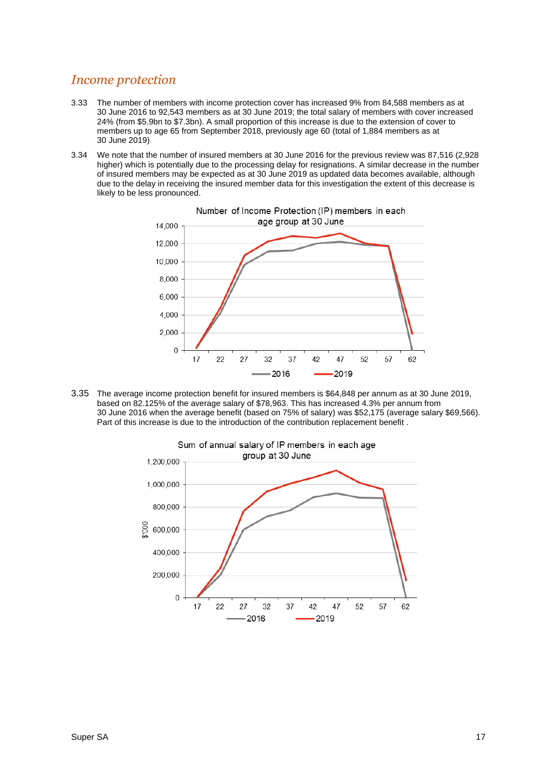### *Income protection*

- 3.33 The number of members with income protection cover has increased 9% from 84,588 members as at 30 June 2016 to 92,543 members as at 30 June 2019; the total salary of members with cover increased 24% (from \$5.9bn to \$7.3bn). A small proportion of this increase is due to the extension of cover to members up to age 65 from September 2018, previously age 60 (total of 1,884 members as at 30 June 2019)
- 3.34 We note that the number of insured members at 30 June 2016 for the previous review was 87,516 (2,928 higher) which is potentially due to the processing delay for resignations. A similar decrease in the number of insured members may be expected as at 30 June 2019 as updated data becomes available, although due to the delay in receiving the insured member data for this investigation the extent of this decrease is likely to be less pronounced.



3.35 The average income protection benefit for insured members is \$64,848 per annum as at 30 June 2019, based on 82.125% of the average salary of \$78,963. This has increased 4.3% per annum from 30 June 2016 when the average benefit (based on 75% of salary) was \$52,175 (average salary \$69,566). Part of this increase is due to the introduction of the contribution replacement benefit .

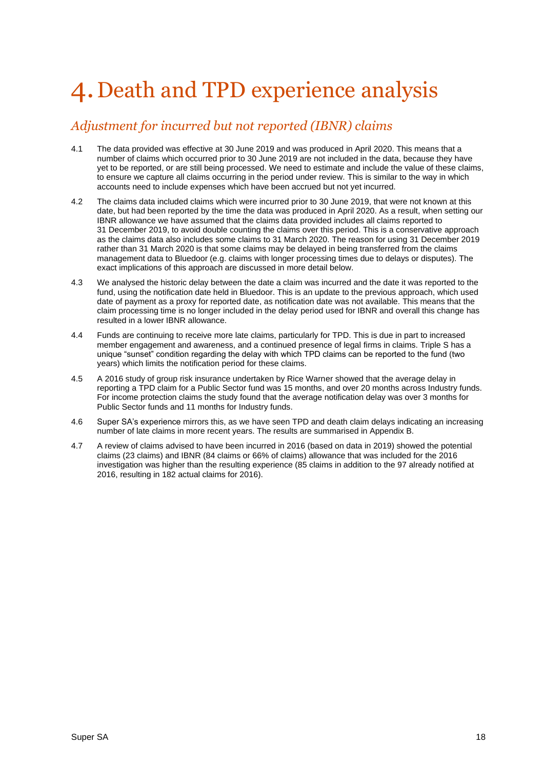## <span id="page-17-0"></span>4.Death and TPD experience analysis

## *Adjustment for incurred but not reported (IBNR) claims*

- 4.1 The data provided was effective at 30 June 2019 and was produced in April 2020. This means that a number of claims which occurred prior to 30 June 2019 are not included in the data, because they have yet to be reported, or are still being processed. We need to estimate and include the value of these claims, to ensure we capture all claims occurring in the period under review. This is similar to the way in which accounts need to include expenses which have been accrued but not yet incurred.
- 4.2 The claims data included claims which were incurred prior to 30 June 2019, that were not known at this date, but had been reported by the time the data was produced in April 2020. As a result, when setting our IBNR allowance we have assumed that the claims data provided includes all claims reported to 31 December 2019, to avoid double counting the claims over this period. This is a conservative approach as the claims data also includes some claims to 31 March 2020. The reason for using 31 December 2019 rather than 31 March 2020 is that some claims may be delayed in being transferred from the claims management data to Bluedoor (e.g. claims with longer processing times due to delays or disputes). The exact implications of this approach are discussed in more detail below.
- 4.3 We analysed the historic delay between the date a claim was incurred and the date it was reported to the fund, using the notification date held in Bluedoor. This is an update to the previous approach, which used date of payment as a proxy for reported date, as notification date was not available. This means that the claim processing time is no longer included in the delay period used for IBNR and overall this change has resulted in a lower IBNR allowance.
- 4.4 Funds are continuing to receive more late claims, particularly for TPD. This is due in part to increased member engagement and awareness, and a continued presence of legal firms in claims. Triple S has a unique "sunset" condition regarding the delay with which TPD claims can be reported to the fund (two years) which limits the notification period for these claims.
- 4.5 A 2016 study of group risk insurance undertaken by Rice Warner showed that the average delay in reporting a TPD claim for a Public Sector fund was 15 months, and over 20 months across Industry funds. For income protection claims the study found that the average notification delay was over 3 months for Public Sector funds and 11 months for Industry funds.
- 4.6 Super SA's experience mirrors this, as we have seen TPD and death claim delays indicating an increasing number of late claims in more recent years. The results are summarised in Appendix B.
- 4.7 A review of claims advised to have been incurred in 2016 (based on data in 2019) showed the potential claims (23 claims) and IBNR (84 claims or 66% of claims) allowance that was included for the 2016 investigation was higher than the resulting experience (85 claims in addition to the 97 already notified at 2016, resulting in 182 actual claims for 2016).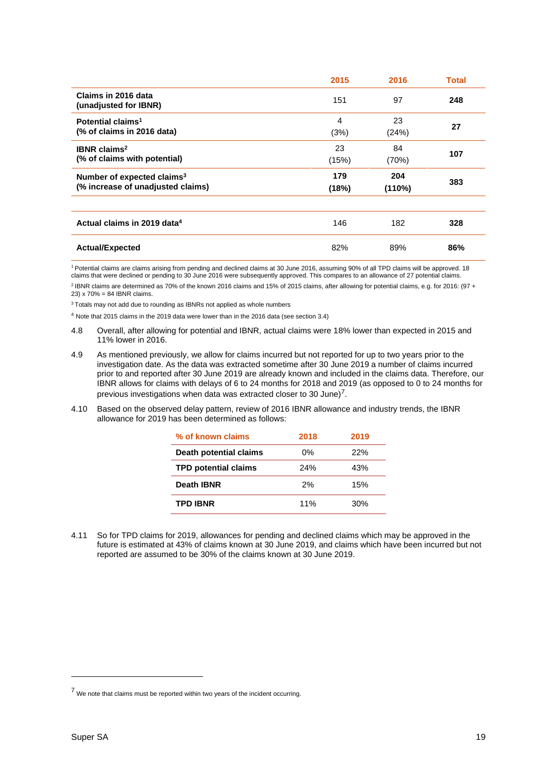|                                              | 2015  | 2016   | <b>Total</b> |
|----------------------------------------------|-------|--------|--------------|
| Claims in 2016 data<br>(unadjusted for IBNR) | 151   | 97     | 248          |
| Potential claims <sup>1</sup>                | 4     | 23     | 27           |
| (% of claims in 2016 data)                   | (3%)  | (24%)  |              |
| <b>IBNR</b> claims <sup>2</sup>              | 23    | 84     | 107          |
| (% of claims with potential)                 | (15%) | (70%)  |              |
|                                              |       |        |              |
| Number of expected claims <sup>3</sup>       | 179   | 204    |              |
| (% increase of unadjusted claims)            | (18%) | (110%) | 383          |
|                                              |       |        |              |
| Actual claims in 2019 data <sup>4</sup>      | 146   | 182    | 328          |

<sup>1</sup>Potential claims are claims arising from pending and declined claims at 30 June 2016, assuming 90% of all TPD claims will be approved. 18 claims that were declined or pending to 30 June 2016 were subsequently approved. This compares to an allowance of 27 potential claims. <sup>2</sup> IBNR claims are determined as 70% of the known 2016 claims and 15% of 2015 claims, after allowing for potential claims, e.g. for 2016: (97 + 23) x 70% = 84 IBNR claims.

<sup>3</sup> Totals may not add due to rounding as IBNRs not applied as whole numbers

<sup>4</sup> Note that 2015 claims in the 2019 data were lower than in the 2016 data (see section 3.4)

- 4.8 Overall, after allowing for potential and IBNR, actual claims were 18% lower than expected in 2015 and 11% lower in 2016.
- 4.9 As mentioned previously, we allow for claims incurred but not reported for up to two years prior to the investigation date. As the data was extracted sometime after 30 June 2019 a number of claims incurred prior to and reported after 30 June 2019 are already known and included in the claims data. Therefore, our IBNR allows for claims with delays of 6 to 24 months for 2018 and 2019 (as opposed to 0 to 24 months for previous investigations when data was extracted closer to 30 June)<sup>7</sup>.
- 4.10 Based on the observed delay pattern, review of 2016 IBNR allowance and industry trends, the IBNR allowance for 2019 has been determined as follows:

| % of known claims           | 2018 | 2019 |
|-----------------------------|------|------|
| Death potential claims      | 0%   | 22%  |
| <b>TPD potential claims</b> | 24%  | 43%  |
| Death IBNR                  | 2%   | 15%  |
| <b>TPD IBNR</b>             | 11%  | 30%  |

4.11 So for TPD claims for 2019, allowances for pending and declined claims which may be approved in the future is estimated at 43% of claims known at 30 June 2019, and claims which have been incurred but not reported are assumed to be 30% of the claims known at 30 June 2019.

<sup>7</sup> We note that claims must be reported within two years of the incident occurring.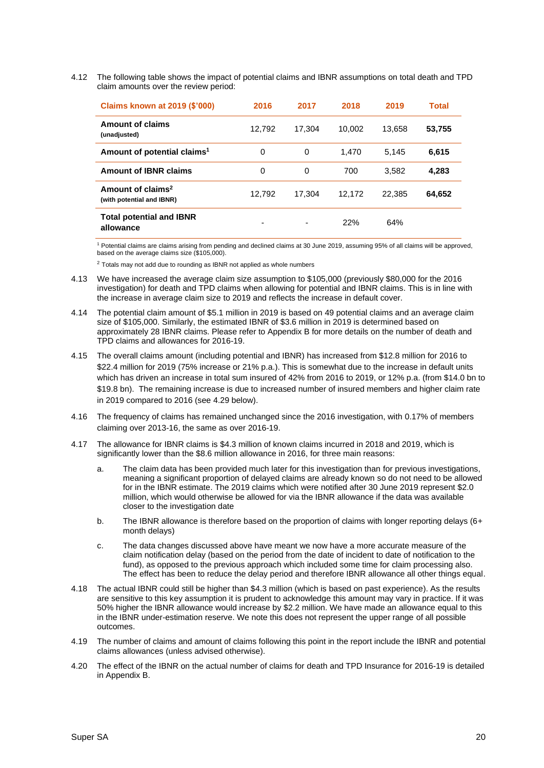4.12 The following table shows the impact of potential claims and IBNR assumptions on total death and TPD claim amounts over the review period:

| <b>Claims known at 2019 (\$'000)</b>                       | 2016   | 2017   | 2018   | 2019   | Total  |
|------------------------------------------------------------|--------|--------|--------|--------|--------|
| Amount of claims<br>(unadjusted)                           | 12.792 | 17.304 | 10.002 | 13.658 | 53,755 |
| Amount of potential claims <sup>1</sup>                    | 0      | 0      | 1.470  | 5.145  | 6,615  |
| <b>Amount of IBNR claims</b>                               | 0      | 0      | 700    | 3.582  | 4,283  |
| Amount of claims <sup>2</sup><br>(with potential and IBNR) | 12.792 | 17.304 | 12.172 | 22.385 | 64,652 |
| <b>Total potential and IBNR</b><br>allowance               |        | -      | 22%    | 64%    |        |

<sup>1</sup> Potential claims are claims arising from pending and declined claims at 30 June 2019, assuming 95% of all claims will be approved, based on the average claims size (\$105,000).

 $2$  Totals may not add due to rounding as IBNR not applied as whole numbers

- 4.13 We have increased the average claim size assumption to \$105,000 (previously \$80,000 for the 2016 investigation) for death and TPD claims when allowing for potential and IBNR claims. This is in line with the increase in average claim size to 2019 and reflects the increase in default cover.
- 4.14 The potential claim amount of \$5.1 million in 2019 is based on 49 potential claims and an average claim size of \$105,000. Similarly, the estimated IBNR of \$3.6 million in 2019 is determined based on approximately 28 IBNR claims. Please refer to Appendix B for more details on the number of death and TPD claims and allowances for 2016-19.
- 4.15 The overall claims amount (including potential and IBNR) has increased from \$12.8 million for 2016 to \$22.4 million for 2019 (75% increase or 21% p.a.). This is somewhat due to the increase in default units which has driven an increase in total sum insured of 42% from 2016 to 2019, or 12% p.a. (from \$14.0 bn to \$19.8 bn). The remaining increase is due to increased number of insured members and higher claim rate in 2019 compared to 2016 (see [4.29 below\)](#page-21-0).
- 4.16 The frequency of claims has remained unchanged since the 2016 investigation, with 0.17% of members claiming over 2013-16, the same as over 2016-19.
- 4.17 The allowance for IBNR claims is \$4.3 million of known claims incurred in 2018 and 2019, which is significantly lower than the \$8.6 million allowance in 2016, for three main reasons:
	- a. The claim data has been provided much later for this investigation than for previous investigations, meaning a significant proportion of delayed claims are already known so do not need to be allowed for in the IBNR estimate. The 2019 claims which were notified after 30 June 2019 represent \$2.0 million, which would otherwise be allowed for via the IBNR allowance if the data was available closer to the investigation date
	- b. The IBNR allowance is therefore based on the proportion of claims with longer reporting delays (6+ month delays)
	- c. The data changes discussed above have meant we now have a more accurate measure of the claim notification delay (based on the period from the date of incident to date of notification to the fund), as opposed to the previous approach which included some time for claim processing also. The effect has been to reduce the delay period and therefore IBNR allowance all other things equal.
- 4.18 The actual IBNR could still be higher than \$4.3 million (which is based on past experience). As the results are sensitive to this key assumption it is prudent to acknowledge this amount may vary in practice. If it was 50% higher the IBNR allowance would increase by \$2.2 million. We have made an allowance equal to this in the IBNR under-estimation reserve. We note this does not represent the upper range of all possible outcomes.
- 4.19 The number of claims and amount of claims following this point in the report include the IBNR and potential claims allowances (unless advised otherwise).
- 4.20 The effect of the IBNR on the actual number of claims for death and TPD Insurance for 2016-19 is detailed in Appendix B.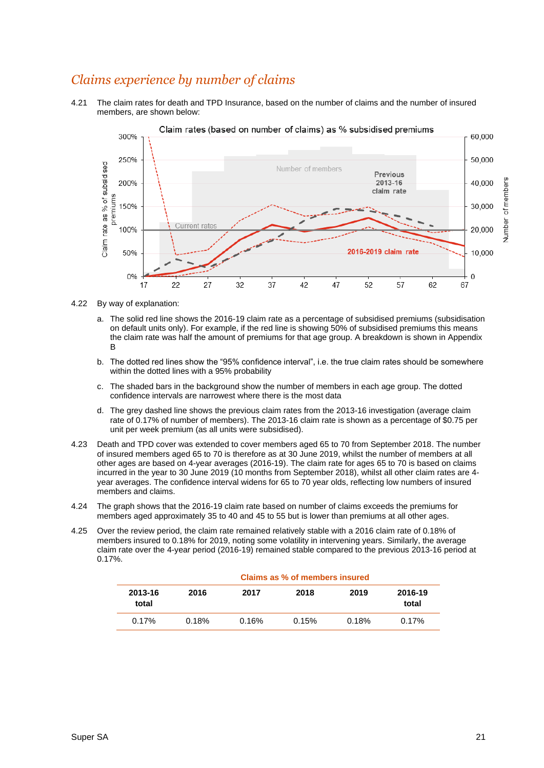## *Claims experience by number of claims*

4.21 The claim rates for death and TPD Insurance, based on the number of claims and the number of insured members, are shown below:



4.22 By way of explanation:

- a. The solid red line shows the 2016-19 claim rate as a percentage of subsidised premiums (subsidisation on default units only). For example, if the red line is showing 50% of subsidised premiums this means the claim rate was half the amount of premiums for that age group. A breakdown is shown in Appendix B
- b. The dotted red lines show the "95% confidence interval", i.e. the true claim rates should be somewhere within the dotted lines with a 95% probability
- c. The shaded bars in the background show the number of members in each age group. The dotted confidence intervals are narrowest where there is the most data
- d. The grey dashed line shows the previous claim rates from the 2013-16 investigation (average claim rate of 0.17% of number of members). The 2013-16 claim rate is shown as a percentage of \$0.75 per unit per week premium (as all units were subsidised).
- 4.23 Death and TPD cover was extended to cover members aged 65 to 70 from September 2018. The number of insured members aged 65 to 70 is therefore as at 30 June 2019, whilst the number of members at all other ages are based on 4-year averages (2016-19). The claim rate for ages 65 to 70 is based on claims incurred in the year to 30 June 2019 (10 months from September 2018), whilst all other claim rates are 4 year averages. The confidence interval widens for 65 to 70 year olds, reflecting low numbers of insured members and claims.
- 4.24 The graph shows that the 2016-19 claim rate based on number of claims exceeds the premiums for members aged approximately 35 to 40 and 45 to 55 but is lower than premiums at all other ages.
- 4.25 Over the review period, the claim rate remained relatively stable with a 2016 claim rate of 0.18% of members insured to 0.18% for 2019, noting some volatility in intervening years. Similarly, the average claim rate over the 4-year period (2016-19) remained stable compared to the previous 2013-16 period at 0.17%.

|                  | Claims as % of members insured |       |       |       |                  |  |  |  |  |
|------------------|--------------------------------|-------|-------|-------|------------------|--|--|--|--|
| 2013-16<br>total | 2016                           | 2017  | 2018  | 2019  | 2016-19<br>total |  |  |  |  |
| 0.17%            | 0.18%                          | 0.16% | 0.15% | 0.18% | 0.17%            |  |  |  |  |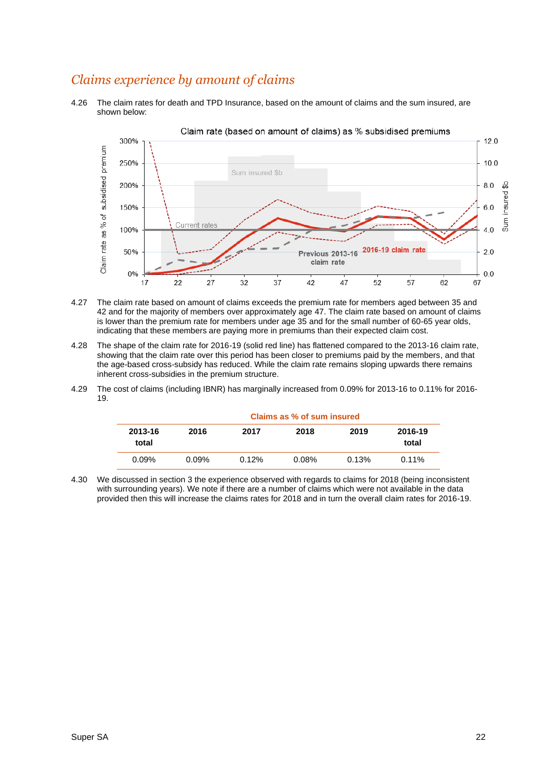### *Claims experience by amount of claims*

4.26 The claim rates for death and TPD Insurance, based on the amount of claims and the sum insured, are shown below:



- 4.27 The claim rate based on amount of claims exceeds the premium rate for members aged between 35 and 42 and for the majority of members over approximately age 47. The claim rate based on amount of claims is lower than the premium rate for members under age 35 and for the small number of 60-65 year olds, indicating that these members are paying more in premiums than their expected claim cost.
- 4.28 The shape of the claim rate for 2016-19 (solid red line) has flattened compared to the 2013-16 claim rate, showing that the claim rate over this period has been closer to premiums paid by the members, and that the age-based cross-subsidy has reduced. While the claim rate remains sloping upwards there remains inherent cross-subsidies in the premium structure.
- <span id="page-21-0"></span>4.29 The cost of claims (including IBNR) has marginally increased from 0.09% for 2013-16 to 0.11% for 2016- 19.

|                  | Claims as % of sum insured |       |          |       |                  |  |  |  |  |
|------------------|----------------------------|-------|----------|-------|------------------|--|--|--|--|
| 2013-16<br>total | 2016                       | 2017  | 2018     | 2019  | 2016-19<br>total |  |  |  |  |
| 0.09%            | $0.09\%$                   | 0.12% | $0.08\%$ | 0.13% | $0.11\%$         |  |  |  |  |

4.30 We discussed in section 3 the experience observed with regards to claims for 2018 (being inconsistent with surrounding years). We note if there are a number of claims which were not available in the data provided then this will increase the claims rates for 2018 and in turn the overall claim rates for 2016-19.

#### Super SA 22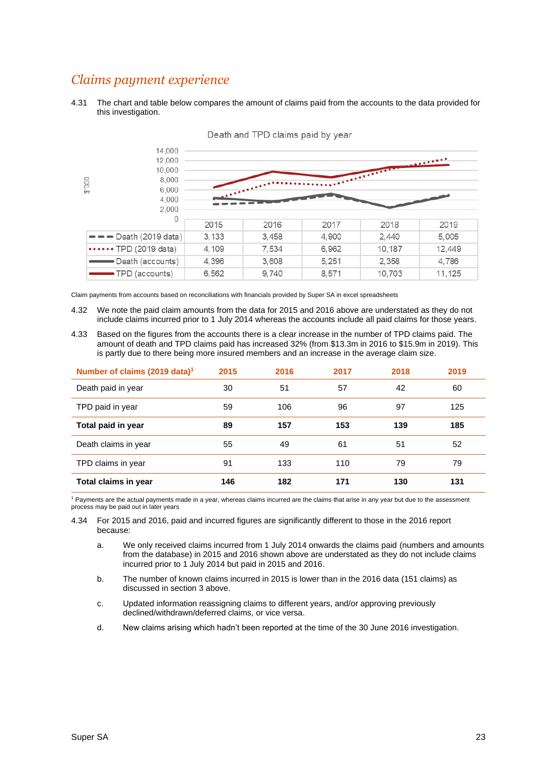### *Claims payment experience*

4.31 The chart and table below compares the amount of claims paid from the accounts to the data provided for this investigation.



Death and TPD claims paid by year

Claim payments from accounts based on reconciliations with financials provided by Super SA in excel spreadsheets

- 4.32 We note the paid claim amounts from the data for 2015 and 2016 above are understated as they do not include claims incurred prior to 1 July 2014 whereas the accounts include all paid claims for those years.
- 4.33 Based on the figures from the accounts there is a clear increase in the number of TPD claims paid. The amount of death and TPD claims paid has increased 32% (from \$13.3m in 2016 to \$15.9m in 2019). This is partly due to there being more insured members and an increase in the average claim size.

| Number of claims (2019 data) <sup>1</sup> | 2015 | 2016 | 2017 | 2018 | 2019 |
|-------------------------------------------|------|------|------|------|------|
| Death paid in year                        | 30   | 51   | 57   | 42   | 60   |
| TPD paid in year                          | 59   | 106  | 96   | 97   | 125  |
| Total paid in year                        | 89   | 157  | 153  | 139  | 185  |
| Death claims in year                      | 55   | 49   | 61   | 51   | 52   |
| TPD claims in year                        | 91   | 133  | 110  | 79   | 79   |
| Total claims in year                      | 146  | 182  | 171  | 130  | 131  |

<sup>1</sup> Payments are the actual payments made in a year, whereas claims incurred are the claims that arise in any year but due to the assessment process may be paid out in later years

4.34 For 2015 and 2016, paid and incurred figures are significantly different to those in the 2016 report because:

- a. We only received claims incurred from 1 July 2014 onwards the claims paid (numbers and amounts from the database) in 2015 and 2016 shown above are understated as they do not include claims incurred prior to 1 July 2014 but paid in 2015 and 2016.
- b. The number of known claims incurred in 2015 is lower than in the 2016 data (151 claims) as discussed in section 3 above.
- c. Updated information reassigning claims to different years, and/or approving previously declined/withdrawn/deferred claims, or vice versa.
- d. New claims arising which hadn't been reported at the time of the 30 June 2016 investigation.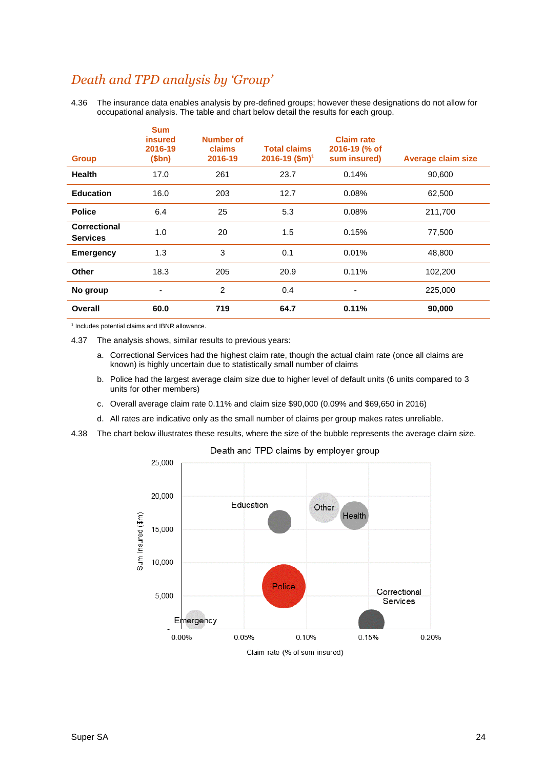### *Death and TPD analysis by 'Group'*

4.36 The insurance data enables analysis by pre-defined groups; however these designations do not allow for occupational analysis. The table and chart below detail the results for each group.

| <b>Group</b>                    | <b>Sum</b><br><b>insured</b><br>2016-19<br>\$bn) | <b>Number of</b><br>claims<br>2016-19 | <b>Total claims</b><br>2016-19 (\$m) <sup>1</sup> | <b>Claim rate</b><br>2016-19 (% of<br>sum insured) | <b>Average claim size</b> |
|---------------------------------|--------------------------------------------------|---------------------------------------|---------------------------------------------------|----------------------------------------------------|---------------------------|
| Health                          | 17.0                                             | 261                                   | 23.7                                              | 0.14%                                              | 90,600                    |
| <b>Education</b>                | 16.0                                             | 203                                   | 12.7                                              | 0.08%                                              | 62,500                    |
| <b>Police</b>                   | 6.4                                              | 25                                    | 5.3                                               | 0.08%                                              | 211,700                   |
| Correctional<br><b>Services</b> | 1.0                                              | 20                                    | 1.5                                               | 0.15%                                              | 77,500                    |
| <b>Emergency</b>                | 1.3                                              | 3                                     | 0.1                                               | 0.01%                                              | 48,800                    |
| <b>Other</b>                    | 18.3                                             | 205                                   | 20.9                                              | 0.11%                                              | 102,200                   |
| No group                        | ٠                                                | $\overline{2}$                        | 0.4                                               | -                                                  | 225,000                   |
| <b>Overall</b>                  | 60.0                                             | 719                                   | 64.7                                              | 0.11%                                              | 90,000                    |

1 Includes potential claims and IBNR allowance.

4.37 The analysis shows, similar results to previous years:

- a. Correctional Services had the highest claim rate, though the actual claim rate (once all claims are known) is highly uncertain due to statistically small number of claims
- b. Police had the largest average claim size due to higher level of default units (6 units compared to 3 units for other members)
- c. Overall average claim rate 0.11% and claim size \$90,000 (0.09% and \$69,650 in 2016)
- d. All rates are indicative only as the small number of claims per group makes rates unreliable.
- 4.38 The chart below illustrates these results, where the size of the bubble represents the average claim size.

Death and TPD claims by employer group

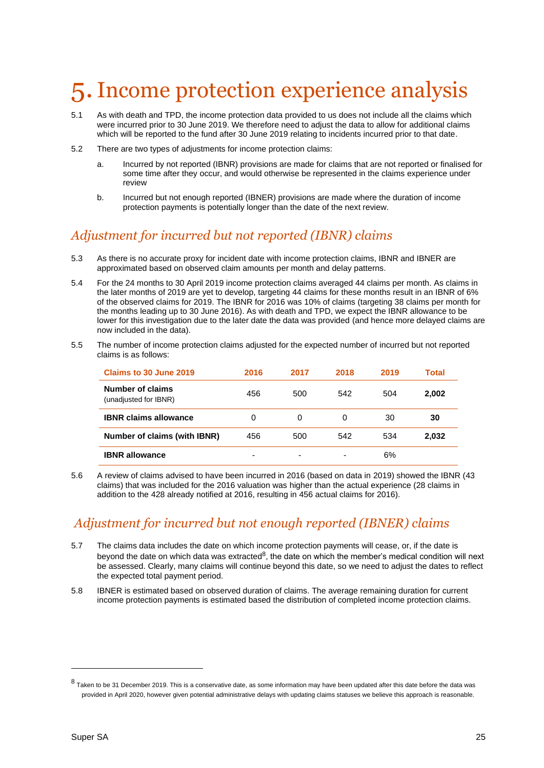## <span id="page-24-0"></span>5.Income protection experience analysis

- 5.1 As with death and TPD, the income protection data provided to us does not include all the claims which were incurred prior to 30 June 2019. We therefore need to adjust the data to allow for additional claims which will be reported to the fund after 30 June 2019 relating to incidents incurred prior to that date.
- 5.2 There are two types of adjustments for income protection claims:
	- a. Incurred by not reported (IBNR) provisions are made for claims that are not reported or finalised for some time after they occur, and would otherwise be represented in the claims experience under review
	- b. Incurred but not enough reported (IBNER) provisions are made where the duration of income protection payments is potentially longer than the date of the next review.

## *Adjustment for incurred but not reported (IBNR) claims*

- 5.3 As there is no accurate proxy for incident date with income protection claims, IBNR and IBNER are approximated based on observed claim amounts per month and delay patterns.
- 5.4 For the 24 months to 30 April 2019 income protection claims averaged 44 claims per month. As claims in the later months of 2019 are yet to develop, targeting 44 claims for these months result in an IBNR of 6% of the observed claims for 2019. The IBNR for 2016 was 10% of claims (targeting 38 claims per month for the months leading up to 30 June 2016). As with death and TPD, we expect the IBNR allowance to be lower for this investigation due to the later date the data was provided (and hence more delayed claims are now included in the data).
- 5.5 The number of income protection claims adjusted for the expected number of incurred but not reported claims is as follows:

| Claims to 30 June 2019                    | 2016 | 2017                     | 2018 | 2019 | Total |
|-------------------------------------------|------|--------------------------|------|------|-------|
| Number of claims<br>(unadjusted for IBNR) | 456  | 500                      | 542  | 504  | 2,002 |
| <b>IBNR claims allowance</b>              | 0    | 0                        | 0    | 30   | 30    |
| Number of claims (with IBNR)              | 456  | 500                      | 542  | 534  | 2,032 |
| <b>IBNR allowance</b>                     | -    | $\overline{\phantom{0}}$ | -    | 6%   |       |

5.6 A review of claims advised to have been incurred in 2016 (based on data in 2019) showed the IBNR (43 claims) that was included for the 2016 valuation was higher than the actual experience (28 claims in addition to the 428 already notified at 2016, resulting in 456 actual claims for 2016).

## *Adjustment for incurred but not enough reported (IBNER) claims*

- 5.7 The claims data includes the date on which income protection payments will cease, or, if the date is beyond the date on which data was extracted<sup>8</sup>, the date on which the member's medical condition will next be assessed. Clearly, many claims will continue beyond this date, so we need to adjust the dates to reflect the expected total payment period.
- 5.8 IBNER is estimated based on observed duration of claims. The average remaining duration for current income protection payments is estimated based the distribution of completed income protection claims.

 $8$  Taken to be 31 December 2019. This is a conservative date, as some information may have been updated after this date before the data was provided in April 2020, however given potential administrative delays with updating claims statuses we believe this approach is reasonable.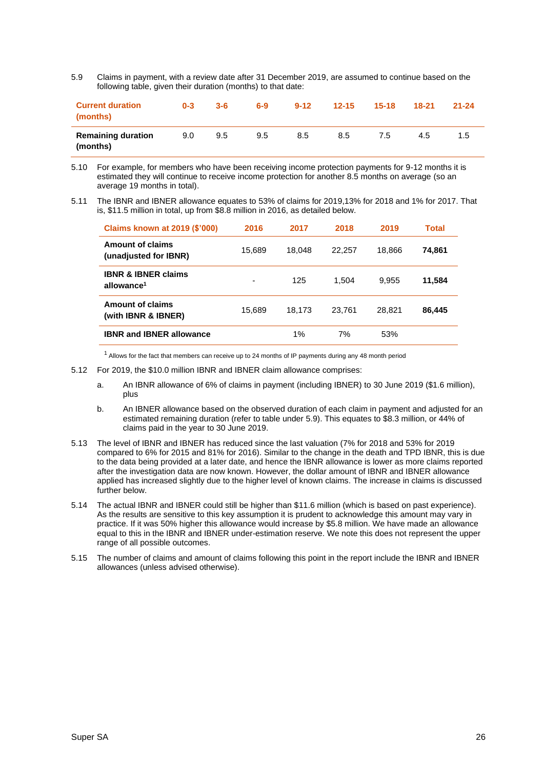<span id="page-25-0"></span>5.9 Claims in payment, with a review date after 31 December 2019, are assumed to continue based on the following table, given their duration (months) to that date:

| <b>Current duration</b><br>(months)   | $0 - 3$       | $3 - 6$ | $6-9$ | $9 - 12$ | $12 - 15$ | $15 - 18$ | $18-21$ | $21 - 24$ |
|---------------------------------------|---------------|---------|-------|----------|-----------|-----------|---------|-----------|
| <b>Remaining duration</b><br>(months) | $9.0^{\circ}$ | 9.5     | 9.5   | 8.5      | 8.5       | 7.5       | 4.5     | 1.5       |

- 5.10 For example, for members who have been receiving income protection payments for 9-12 months it is estimated they will continue to receive income protection for another 8.5 months on average (so an average 19 months in total).
- 5.11 The IBNR and IBNER allowance equates to 53% of claims for 2019,13% for 2018 and 1% for 2017. That is, \$11.5 million in total, up from \$8.8 million in 2016, as detailed below.

| <b>Claims known at 2019 (\$'000)</b>                     | 2016   | 2017   | 2018   | 2019   | Total  |
|----------------------------------------------------------|--------|--------|--------|--------|--------|
| <b>Amount of claims</b><br>(unadjusted for IBNR)         | 15,689 | 18.048 | 22,257 | 18.866 | 74,861 |
| <b>IBNR &amp; IBNER claims</b><br>allowance <sup>1</sup> | -      | 125    | 1.504  | 9.955  | 11,584 |
| Amount of claims<br>(with IBNR & IBNER)                  | 15.689 | 18.173 | 23.761 | 28.821 | 86,445 |
| <b>IBNR and IBNER allowance</b>                          |        | $1\%$  | 7%     | 53%    |        |

<sup>1</sup> Allows for the fact that members can receive up to 24 months of IP payments during any 48 month period

- 5.12 For 2019, the \$10.0 million IBNR and IBNER claim allowance comprises:
	- a. An IBNR allowance of 6% of claims in payment (including IBNER) to 30 June 2019 (\$1.6 million), plus
	- b. An IBNER allowance based on the observed duration of each claim in payment and adjusted for an estimated remaining duration (refer to table under [5.9\)](#page-25-0). This equates to \$8.3 million, or 44% of claims paid in the year to 30 June 2019.
- 5.13 The level of IBNR and IBNER has reduced since the last valuation (7% for 2018 and 53% for 2019 compared to 6% for 2015 and 81% for 2016). Similar to the change in the death and TPD IBNR, this is due to the data being provided at a later date, and hence the IBNR allowance is lower as more claims reported after the investigation data are now known. However, the dollar amount of IBNR and IBNER allowance applied has increased slightly due to the higher level of known claims. The increase in claims is discussed further below.
- 5.14 The actual IBNR and IBNER could still be higher than \$11.6 million (which is based on past experience). As the results are sensitive to this key assumption it is prudent to acknowledge this amount may vary in practice. If it was 50% higher this allowance would increase by \$5.8 million. We have made an allowance equal to this in the IBNR and IBNER under-estimation reserve. We note this does not represent the upper range of all possible outcomes.
- 5.15 The number of claims and amount of claims following this point in the report include the IBNR and IBNER allowances (unless advised otherwise).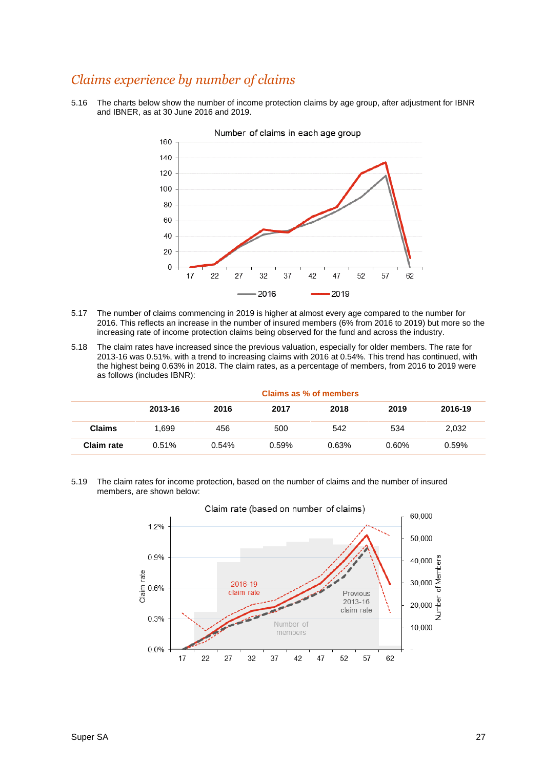### *Claims experience by number of claims*

5.16 The charts below show the number of income protection claims by age group, after adjustment for IBNR and IBNER, as at 30 June 2016 and 2019.



- 5.17 The number of claims commencing in 2019 is higher at almost every age compared to the number for 2016. This reflects an increase in the number of insured members (6% from 2016 to 2019) but more so the increasing rate of income protection claims being observed for the fund and across the industry.
- 5.18 The claim rates have increased since the previous valuation, especially for older members. The rate for 2013-16 was 0.51%, with a trend to increasing claims with 2016 at 0.54%. This trend has continued, with the highest being 0.63% in 2018. The claim rates, as a percentage of members, from 2016 to 2019 were as follows (includes IBNR):

|               | Claims as % of members |       |       |       |       |         |  |  |
|---------------|------------------------|-------|-------|-------|-------|---------|--|--|
|               | 2013-16                | 2016  | 2017  | 2018  | 2019  | 2016-19 |  |  |
| <b>Claims</b> | 1.699                  | 456   | 500   | 542   | 534   | 2,032   |  |  |
| Claim rate    | 0.51%                  | 0.54% | 0.59% | 0.63% | 0.60% | 0.59%   |  |  |

5.19 The claim rates for income protection, based on the number of claims and the number of insured members, are shown below:

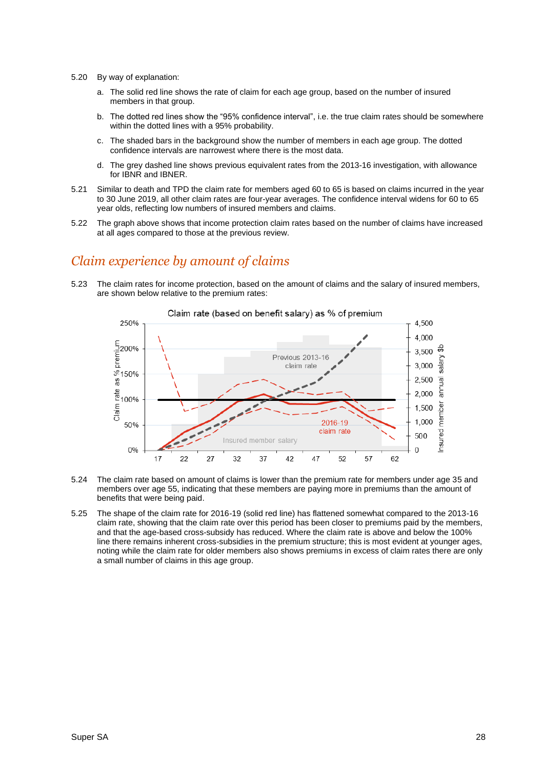- 5.20 By way of explanation:
	- a. The solid red line shows the rate of claim for each age group, based on the number of insured members in that group.
	- b. The dotted red lines show the "95% confidence interval", i.e. the true claim rates should be somewhere within the dotted lines with a 95% probability.
	- c. The shaded bars in the background show the number of members in each age group. The dotted confidence intervals are narrowest where there is the most data.
	- d. The grey dashed line shows previous equivalent rates from the 2013-16 investigation, with allowance for IBNR and IBNER.
- 5.21 Similar to death and TPD the claim rate for members aged 60 to 65 is based on claims incurred in the year to 30 June 2019, all other claim rates are four-year averages. The confidence interval widens for 60 to 65 year olds, reflecting low numbers of insured members and claims.
- 5.22 The graph above shows that income protection claim rates based on the number of claims have increased at all ages compared to those at the previous review.

#### *Claim experience by amount of claims*

5.23 The claim rates for income protection, based on the amount of claims and the salary of insured members, are shown below relative to the premium rates:



- 5.24 The claim rate based on amount of claims is lower than the premium rate for members under age 35 and members over age 55, indicating that these members are paying more in premiums than the amount of benefits that were being paid.
- 5.25 The shape of the claim rate for 2016-19 (solid red line) has flattened somewhat compared to the 2013-16 claim rate, showing that the claim rate over this period has been closer to premiums paid by the members, and that the age-based cross-subsidy has reduced. Where the claim rate is above and below the 100% line there remains inherent cross-subsidies in the premium structure; this is most evident at younger ages, noting while the claim rate for older members also shows premiums in excess of claim rates there are only a small number of claims in this age group.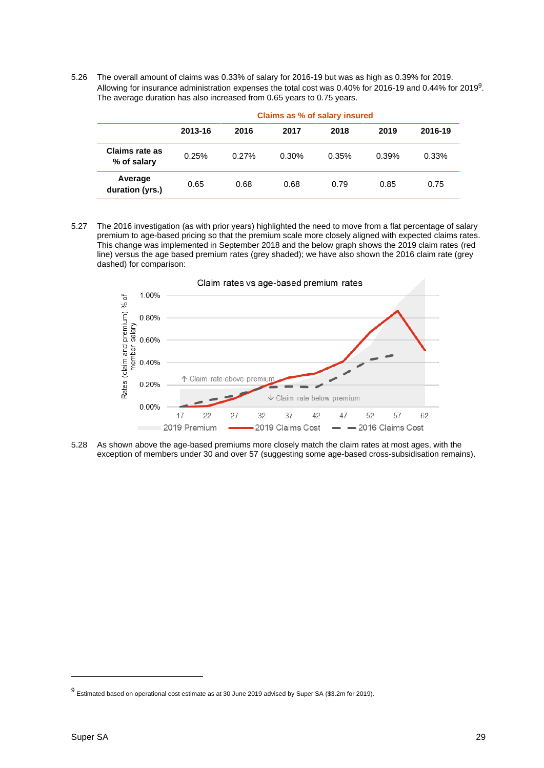5.26 The overall amount of claims was 0.33% of salary for 2016-19 but was as high as 0.39% for 2019. Allowing for insurance administration expenses the total cost was 0.40% for 2016-19 and 0.44% for 2019<sup>9</sup>. The average duration has also increased from 0.65 years to 0.75 years.

|                               | Claims as % of salary insured |       |       |       |       |          |  |  |
|-------------------------------|-------------------------------|-------|-------|-------|-------|----------|--|--|
|                               | 2013-16                       | 2016  | 2017  | 2018  | 2019  | 2016-19  |  |  |
| Claims rate as<br>% of salary | 0.25%                         | 0.27% | 0.30% | 0.35% | 0.39% | $0.33\%$ |  |  |
| Average<br>duration (yrs.)    | 0.65                          | 0.68  | 0.68  | 0.79  | 0.85  | 0.75     |  |  |

5.27 The 2016 investigation (as with prior years) highlighted the need to move from a flat percentage of salary premium to age-based pricing so that the premium scale more closely aligned with expected claims rates. This change was implemented in September 2018 and the below graph shows the 2019 claim rates (red line) versus the age based premium rates (grey shaded); we have also shown the 2016 claim rate (grey dashed) for comparison:



5.28 As shown above the age-based premiums more closely match the claim rates at most ages, with the exception of members under 30 and over 57 (suggesting some age-based cross-subsidisation remains).

<sup>9</sup> Estimated based on operational cost estimate as at 30 June 2019 advised by Super SA (\$3.2m for 2019).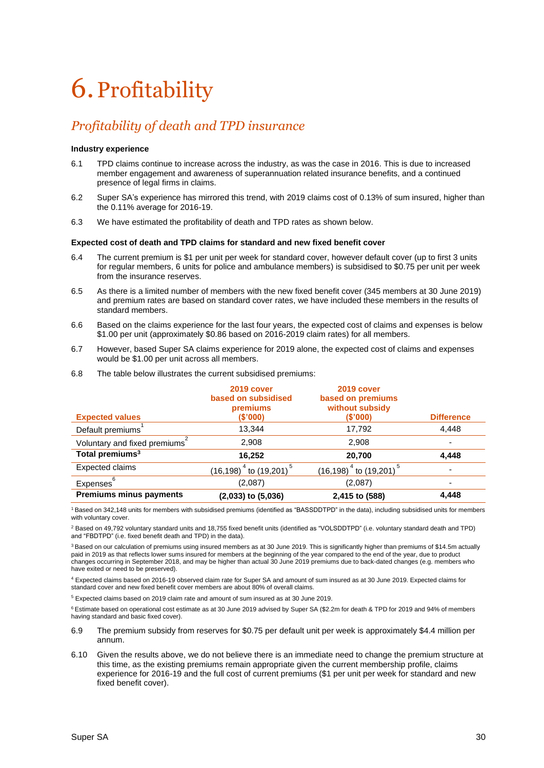# <span id="page-29-0"></span>6.Profitability

## *Profitability of death and TPD insurance*

#### **Industry experience**

- 6.1 TPD claims continue to increase across the industry, as was the case in 2016. This is due to increased member engagement and awareness of superannuation related insurance benefits, and a continued presence of legal firms in claims.
- 6.2 Super SA's experience has mirrored this trend, with 2019 claims cost of 0.13% of sum insured, higher than the 0.11% average for 2016-19.
- 6.3 We have estimated the profitability of death and TPD rates as shown below.

#### **Expected cost of death and TPD claims for standard and new fixed benefit cover**

- 6.4 The current premium is \$1 per unit per week for standard cover, however default cover (up to first 3 units for regular members, 6 units for police and ambulance members) is subsidised to \$0.75 per unit per week from the insurance reserves.
- 6.5 As there is a limited number of members with the new fixed benefit cover (345 members at 30 June 2019) and premium rates are based on standard cover rates, we have included these members in the results of standard members.
- 6.6 Based on the claims experience for the last four years, the expected cost of claims and expenses is below \$1.00 per unit (approximately \$0.86 based on 2016-2019 claim rates) for all members.
- 6.7 However, based Super SA claims experience for 2019 alone, the expected cost of claims and expenses would be \$1.00 per unit across all members.

| <b>Expected values</b>                    | 2019 cover<br>based on subsidised<br>premiums<br>(\$'000) | 2019 cover<br>based on premiums<br>without subsidy<br>(\$'000) | <b>Difference</b>        |
|-------------------------------------------|-----------------------------------------------------------|----------------------------------------------------------------|--------------------------|
| Default premiums                          | 13.344                                                    | 17,792                                                         | 4.448                    |
| Voluntary and fixed premiums <sup>4</sup> | 2,908                                                     | 2,908                                                          | $\overline{\phantom{0}}$ |
| Total premiums <sup>3</sup>               | 16,252                                                    | 20,700                                                         | 4.448                    |
| <b>Expected claims</b>                    | $(16, 198)^{4}$ to $(19, 201)^{5}$                        | $(16, 198)^{4}$ to $(19, 201)^{5}$                             |                          |
| 6<br>Expenses                             | (2,087)                                                   | (2,087)                                                        | -                        |
| <b>Premiums minus payments</b>            | $(2,033)$ to $(5,036)$                                    | 2,415 to (588)                                                 | 4,448                    |

6.8 The table below illustrates the current subsidised premiums:

<sup>1</sup> Based on 342,148 units for members with subsidised premiums (identified as "BASSDDTPD" in the data), including subsidised units for members with voluntary cover.

<sup>2</sup> Based on 49,792 voluntary standard units and 18,755 fixed benefit units (identified as "VOLSDDTPD" (i.e. voluntary standard death and TPD) and "FBDTPD" (i.e. fixed benefit death and TPD) in the data).

<sup>3</sup> Based on our calculation of premiums using insured members as at 30 June 2019. This is significantly higher than premiums of \$14.5m actually paid in 2019 as that reflects lower sums insured for members at the beginning of the year compared to the end of the year, due to product changes occurring in September 2018, and may be higher than actual 30 June 2019 premiums due to back-dated changes (e.g. members who have exited or need to be preserved).

<sup>4</sup> Expected claims based on 2016-19 observed claim rate for Super SA and amount of sum insured as at 30 June 2019. Expected claims for standard cover and new fixed benefit cover members are about 80% of overall claims.

<sup>5</sup> Expected claims based on 2019 claim rate and amount of sum insured as at 30 June 2019.

<sup>6</sup> Estimate based on operational cost estimate as at 30 June 2019 advised by Super SA (\$2.2m for death & TPD for 2019 and 94% of members having standard and basic fixed cover).

- 6.9 The premium subsidy from reserves for \$0.75 per default unit per week is approximately \$4.4 million per annum.
- 6.10 Given the results above, we do not believe there is an immediate need to change the premium structure at this time, as the existing premiums remain appropriate given the current membership profile, claims experience for 2016-19 and the full cost of current premiums (\$1 per unit per week for standard and new fixed benefit cover).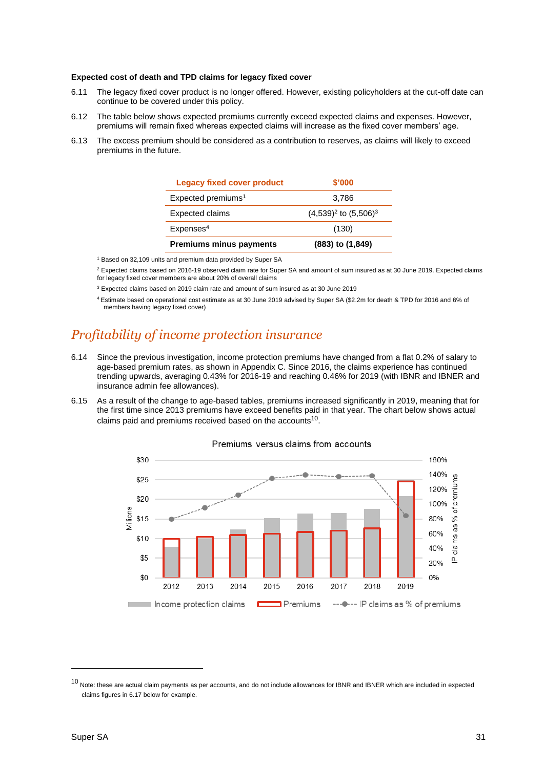#### **Expected cost of death and TPD claims for legacy fixed cover**

- 6.11 The legacy fixed cover product is no longer offered. However, existing policyholders at the cut-off date can continue to be covered under this policy.
- 6.12 The table below shows expected premiums currently exceed expected claims and expenses. However, premiums will remain fixed whereas expected claims will increase as the fixed cover members' age.
- 6.13 The excess premium should be considered as a contribution to reserves, as claims will likely to exceed premiums in the future.

| <b>Legacy fixed cover product</b> | \$'000                     |
|-----------------------------------|----------------------------|
| Expected premiums <sup>1</sup>    | 3,786                      |
| <b>Expected claims</b>            | $(4,539)^2$ to $(5,506)^3$ |
| Expenses <sup>4</sup>             | (130)                      |
| <b>Premiums minus payments</b>    | (883) to (1,849)           |

<sup>1</sup> Based on 32,109 units and premium data provided by Super SA

<sup>2</sup> Expected claims based on 2016-19 observed claim rate for Super SA and amount of sum insured as at 30 June 2019. Expected claims for legacy fixed cover members are about 20% of overall claims

<sup>3</sup> Expected claims based on 2019 claim rate and amount of sum insured as at 30 June 2019

<sup>4</sup>Estimate based on operational cost estimate as at 30 June 2019 advised by Super SA (\$2.2m for death & TPD for 2016 and 6% of members having legacy fixed cover)

### *Profitability of income protection insurance*

- 6.14 Since the previous investigation, income protection premiums have changed from a flat 0.2% of salary to age-based premium rates, as shown in Appendix C. Since 2016, the claims experience has continued trending upwards, averaging 0.43% for 2016-19 and reaching 0.46% for 2019 (with IBNR and IBNER and insurance admin fee allowances).
- 6.15 As a result of the change to age-based tables, premiums increased significantly in 2019, meaning that for the first time since 2013 premiums have exceed benefits paid in that year. The chart below shows actual claims paid and premiums received based on the accounts<sup>10</sup>.



#### Premiums versus claims from accounts

 $10$  Note: these are actual claim payments as per accounts, and do not include allowances for IBNR and IBNER which are included in expected claims figures in 6.17 below for example.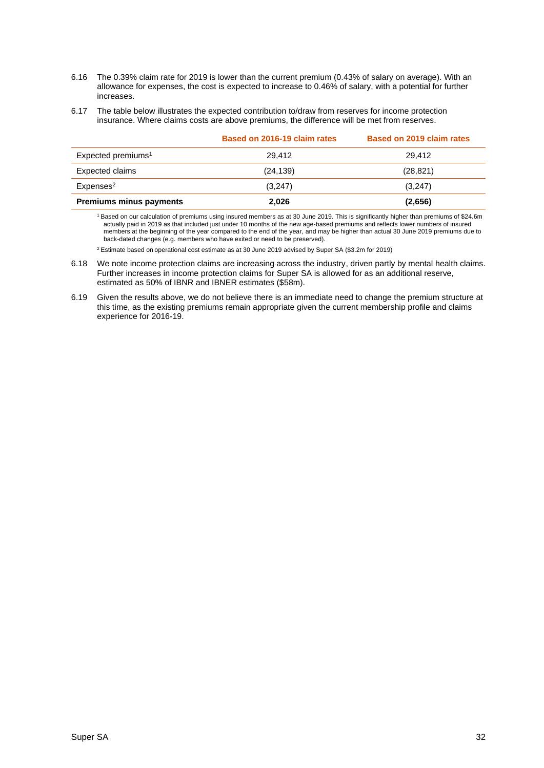- 6.16 The 0.39% claim rate for 2019 is lower than the current premium (0.43% of salary on average). With an allowance for expenses, the cost is expected to increase to 0.46% of salary, with a potential for further increases.
- 6.17 The table below illustrates the expected contribution to/draw from reserves for income protection insurance. Where claims costs are above premiums, the difference will be met from reserves.

|                                | Based on 2016-19 claim rates | Based on 2019 claim rates |
|--------------------------------|------------------------------|---------------------------|
| Expected premiums <sup>1</sup> | 29.412                       | 29.412                    |
| Expected claims                | (24, 139)                    | (28, 821)                 |
| Expenses <sup>2</sup>          | (3,247)                      | (3,247)                   |
| <b>Premiums minus payments</b> | 2.026                        | (2,656)                   |

<sup>1</sup>Based on our calculation of premiums using insured members as at 30 June 2019. This is significantly higher than premiums of \$24.6m actually paid in 2019 as that included just under 10 months of the new age-based premiums and reflects lower numbers of insured members at the beginning of the year compared to the end of the year, and may be higher than actual 30 June 2019 premiums due to back-dated changes (e.g. members who have exited or need to be preserved).

<sup>2</sup> Estimate based on operational cost estimate as at 30 June 2019 advised by Super SA (\$3.2m for 2019)

6.18 We note income protection claims are increasing across the industry, driven partly by mental health claims. Further increases in income protection claims for Super SA is allowed for as an additional reserve, estimated as 50% of IBNR and IBNER estimates (\$58m).

6.19 Given the results above, we do not believe there is an immediate need to change the premium structure at this time, as the existing premiums remain appropriate given the current membership profile and claims experience for 2016-19.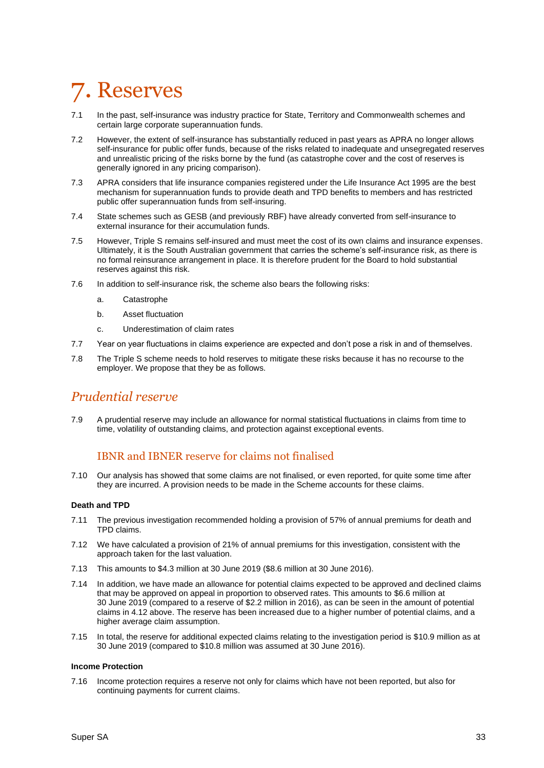## <span id="page-32-0"></span>7. Reserves

- 7.1 In the past, self-insurance was industry practice for State, Territory and Commonwealth schemes and certain large corporate superannuation funds.
- 7.2 However, the extent of self-insurance has substantially reduced in past years as APRA no longer allows self-insurance for public offer funds, because of the risks related to inadequate and unsegregated reserves and unrealistic pricing of the risks borne by the fund (as catastrophe cover and the cost of reserves is generally ignored in any pricing comparison).
- 7.3 APRA considers that life insurance companies registered under the Life Insurance Act 1995 are the best mechanism for superannuation funds to provide death and TPD benefits to members and has restricted public offer superannuation funds from self-insuring.
- 7.4 State schemes such as GESB (and previously RBF) have already converted from self-insurance to external insurance for their accumulation funds.
- 7.5 However, Triple S remains self-insured and must meet the cost of its own claims and insurance expenses. Ultimately, it is the South Australian government that carries the scheme's self-insurance risk, as there is no formal reinsurance arrangement in place. It is therefore prudent for the Board to hold substantial reserves against this risk.
- 7.6 In addition to self-insurance risk, the scheme also bears the following risks:
	- a. Catastrophe
	- b. Asset fluctuation
	- c. Underestimation of claim rates
- 7.7 Year on year fluctuations in claims experience are expected and don't pose a risk in and of themselves.
- 7.8 The Triple S scheme needs to hold reserves to mitigate these risks because it has no recourse to the employer. We propose that they be as follows.

#### *Prudential reserve*

7.9 A prudential reserve may include an allowance for normal statistical fluctuations in claims from time to time, volatility of outstanding claims, and protection against exceptional events.

#### IBNR and IBNER reserve for claims not finalised

7.10 Our analysis has showed that some claims are not finalised, or even reported, for quite some time after they are incurred. A provision needs to be made in the Scheme accounts for these claims.

#### **Death and TPD**

- 7.11 The previous investigation recommended holding a provision of 57% of annual premiums for death and TPD claims.
- 7.12 We have calculated a provision of 21% of annual premiums for this investigation, consistent with the approach taken for the last valuation.
- 7.13 This amounts to \$4.3 million at 30 June 2019 (\$8.6 million at 30 June 2016).
- 7.14 In addition, we have made an allowance for potential claims expected to be approved and declined claims that may be approved on appeal in proportion to observed rates. This amounts to \$6.6 million at 30 June 2019 (compared to a reserve of \$2.2 million in 2016), as can be seen in the amount of potential claims in 4.12 above. The reserve has been increased due to a higher number of potential claims, and a higher average claim assumption.
- 7.15 In total, the reserve for additional expected claims relating to the investigation period is \$10.9 million as at 30 June 2019 (compared to \$10.8 million was assumed at 30 June 2016).

#### **Income Protection**

7.16 Income protection requires a reserve not only for claims which have not been reported, but also for continuing payments for current claims.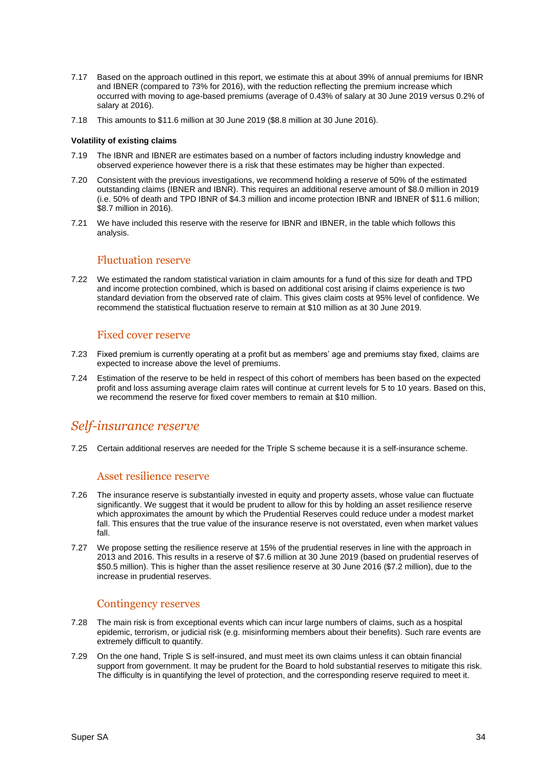- 7.17 Based on the approach outlined in this report, we estimate this at about 39% of annual premiums for IBNR and IBNER (compared to 73% for 2016), with the reduction reflecting the premium increase which occurred with moving to age-based premiums (average of 0.43% of salary at 30 June 2019 versus 0.2% of salary at 2016).
- 7.18 This amounts to \$11.6 million at 30 June 2019 (\$8.8 million at 30 June 2016).

#### **Volatility of existing claims**

- 7.19 The IBNR and IBNER are estimates based on a number of factors including industry knowledge and observed experience however there is a risk that these estimates may be higher than expected.
- 7.20 Consistent with the previous investigations, we recommend holding a reserve of 50% of the estimated outstanding claims (IBNER and IBNR). This requires an additional reserve amount of \$8.0 million in 2019 (i.e. 50% of death and TPD IBNR of \$4.3 million and income protection IBNR and IBNER of \$11.6 million; \$8.7 million in 2016).
- 7.21 We have included this reserve with the reserve for IBNR and IBNER, in the table which follows this analysis.

#### Fluctuation reserve

7.22 We estimated the random statistical variation in claim amounts for a fund of this size for death and TPD and income protection combined, which is based on additional cost arising if claims experience is two standard deviation from the observed rate of claim. This gives claim costs at 95% level of confidence. We recommend the statistical fluctuation reserve to remain at \$10 million as at 30 June 2019.

#### Fixed cover reserve

- 7.23 Fixed premium is currently operating at a profit but as members' age and premiums stay fixed, claims are expected to increase above the level of premiums.
- 7.24 Estimation of the reserve to be held in respect of this cohort of members has been based on the expected profit and loss assuming average claim rates will continue at current levels for 5 to 10 years. Based on this, we recommend the reserve for fixed cover members to remain at \$10 million.

#### *Self-insurance reserve*

7.25 Certain additional reserves are needed for the Triple S scheme because it is a self-insurance scheme.

#### Asset resilience reserve

- 7.26 The insurance reserve is substantially invested in equity and property assets, whose value can fluctuate significantly. We suggest that it would be prudent to allow for this by holding an asset resilience reserve which approximates the amount by which the Prudential Reserves could reduce under a modest market fall. This ensures that the true value of the insurance reserve is not overstated, even when market values fall.
- 7.27 We propose setting the resilience reserve at 15% of the prudential reserves in line with the approach in 2013 and 2016. This results in a reserve of \$7.6 million at 30 June 2019 (based on prudential reserves of \$50.5 million). This is higher than the asset resilience reserve at 30 June 2016 (\$7.2 million), due to the increase in prudential reserves.

#### Contingency reserves

- 7.28 The main risk is from exceptional events which can incur large numbers of claims, such as a hospital epidemic, terrorism, or judicial risk (e.g. misinforming members about their benefits). Such rare events are extremely difficult to quantify.
- 7.29 On the one hand, Triple S is self-insured, and must meet its own claims unless it can obtain financial support from government. It may be prudent for the Board to hold substantial reserves to mitigate this risk. The difficulty is in quantifying the level of protection, and the corresponding reserve required to meet it.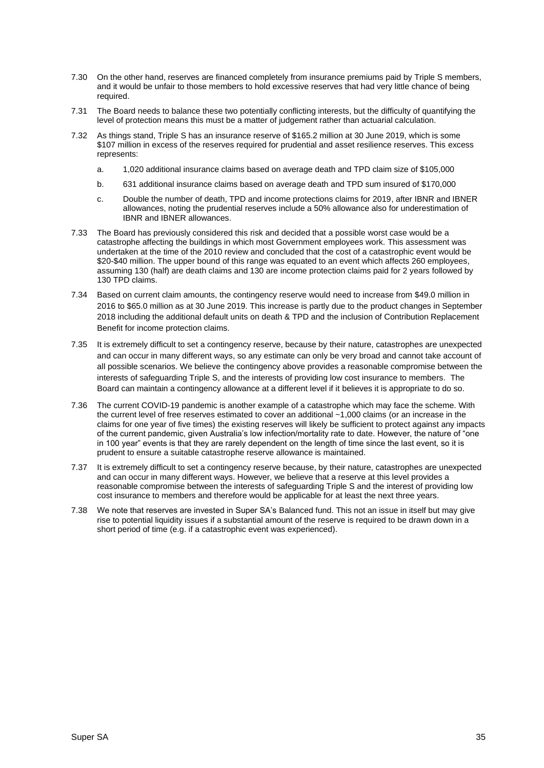- 7.30 On the other hand, reserves are financed completely from insurance premiums paid by Triple S members, and it would be unfair to those members to hold excessive reserves that had very little chance of being required.
- 7.31 The Board needs to balance these two potentially conflicting interests, but the difficulty of quantifying the level of protection means this must be a matter of judgement rather than actuarial calculation.
- 7.32 As things stand, Triple S has an insurance reserve of \$165.2 million at 30 June 2019, which is some \$107 million in excess of the reserves required for prudential and asset resilience reserves. This excess represents:
	- a. 1,020 additional insurance claims based on average death and TPD claim size of \$105,000
	- b. 631 additional insurance claims based on average death and TPD sum insured of \$170,000
	- c. Double the number of death, TPD and income protections claims for 2019, after IBNR and IBNER allowances, noting the prudential reserves include a 50% allowance also for underestimation of IBNR and IBNER allowances.
- 7.33 The Board has previously considered this risk and decided that a possible worst case would be a catastrophe affecting the buildings in which most Government employees work. This assessment was undertaken at the time of the 2010 review and concluded that the cost of a catastrophic event would be \$20-\$40 million. The upper bound of this range was equated to an event which affects 260 employees, assuming 130 (half) are death claims and 130 are income protection claims paid for 2 years followed by 130 TPD claims.
- 7.34 Based on current claim amounts, the contingency reserve would need to increase from \$49.0 million in 2016 to \$65.0 million as at 30 June 2019. This increase is partly due to the product changes in September 2018 including the additional default units on death & TPD and the inclusion of Contribution Replacement Benefit for income protection claims.
- 7.35 It is extremely difficult to set a contingency reserve, because by their nature, catastrophes are unexpected and can occur in many different ways, so any estimate can only be very broad and cannot take account of all possible scenarios. We believe the contingency above provides a reasonable compromise between the interests of safeguarding Triple S, and the interests of providing low cost insurance to members. The Board can maintain a contingency allowance at a different level if it believes it is appropriate to do so.
- 7.36 The current COVID-19 pandemic is another example of a catastrophe which may face the scheme. With the current level of free reserves estimated to cover an additional ~1,000 claims (or an increase in the claims for one year of five times) the existing reserves will likely be sufficient to protect against any impacts of the current pandemic, given Australia's low infection/mortality rate to date. However, the nature of "one in 100 year" events is that they are rarely dependent on the length of time since the last event, so it is prudent to ensure a suitable catastrophe reserve allowance is maintained.
- 7.37 It is extremely difficult to set a contingency reserve because, by their nature, catastrophes are unexpected and can occur in many different ways. However, we believe that a reserve at this level provides a reasonable compromise between the interests of safeguarding Triple S and the interest of providing low cost insurance to members and therefore would be applicable for at least the next three years.
- 7.38 We note that reserves are invested in Super SA's Balanced fund. This not an issue in itself but may give rise to potential liquidity issues if a substantial amount of the reserve is required to be drawn down in a short period of time (e.g. if a catastrophic event was experienced).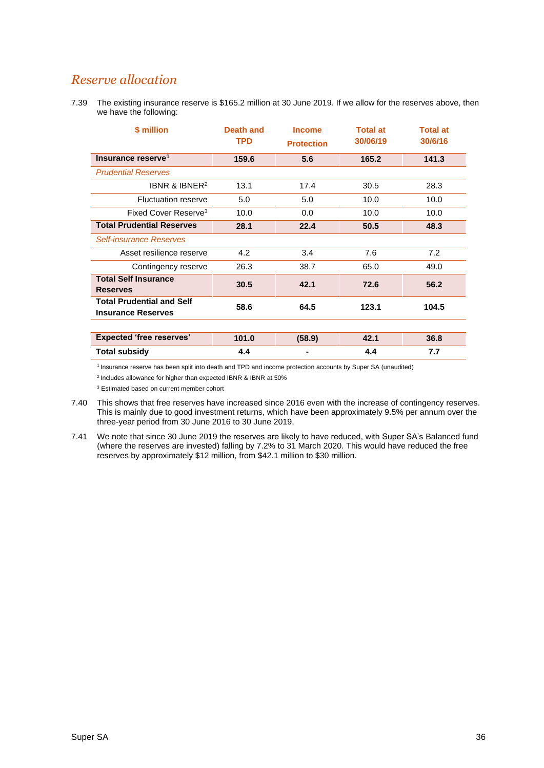## *Reserve allocation*

7.39 The existing insurance reserve is \$165.2 million at 30 June 2019. If we allow for the reserves above, then we have the following:

| \$ million                                                    | Death and<br><b>TPD</b> | <b>Income</b><br><b>Protection</b> | <b>Total at</b><br>30/06/19 | <b>Total at</b><br>30/6/16 |
|---------------------------------------------------------------|-------------------------|------------------------------------|-----------------------------|----------------------------|
| Insurance reserve <sup>1</sup>                                | 159.6                   | 5.6                                | 165.2                       | 141.3                      |
| <b>Prudential Reserves</b>                                    |                         |                                    |                             |                            |
| IBNR & IBNER <sup>2</sup>                                     | 13.1                    | 17.4                               | 30.5                        | 28.3                       |
| <b>Fluctuation reserve</b>                                    | 5.0                     | 5.0                                | 10.0                        | 10.0                       |
| Fixed Cover Reserve <sup>3</sup>                              | 10.0                    | 0.0                                | 10.0                        | 10.0                       |
| <b>Total Prudential Reserves</b>                              | 28.1                    | 22.4                               | 50.5                        | 48.3                       |
| <b>Self-insurance Reserves</b>                                |                         |                                    |                             |                            |
| Asset resilience reserve                                      | 4.2                     | 3.4                                | 7.6                         | 7.2                        |
| Contingency reserve                                           | 26.3                    | 38.7                               | 65.0                        | 49.0                       |
| <b>Total Self Insurance</b><br><b>Reserves</b>                | 30.5                    | 42.1                               | 72.6                        | 56.2                       |
| <b>Total Prudential and Self</b><br><b>Insurance Reserves</b> | 58.6                    | 64.5                               | 123.1                       | 104.5                      |
|                                                               |                         |                                    |                             |                            |
| <b>Expected 'free reserves'</b>                               | 101.0                   | (58.9)                             | 42.1                        | 36.8                       |
| <b>Total subsidy</b>                                          | 4.4                     |                                    | 4.4                         | 7.7                        |

<sup>1</sup> Insurance reserve has been split into death and TPD and income protection accounts by Super SA (unaudited)

<sup>2</sup> Includes allowance for higher than expected IBNR & IBNR at 50%

<sup>3</sup> Estimated based on current member cohort

- 7.40 This shows that free reserves have increased since 2016 even with the increase of contingency reserves. This is mainly due to good investment returns, which have been approximately 9.5% per annum over the three-year period from 30 June 2016 to 30 June 2019.
- 7.41 We note that since 30 June 2019 the reserves are likely to have reduced, with Super SA's Balanced fund (where the reserves are invested) falling by 7.2% to 31 March 2020. This would have reduced the free reserves by approximately \$12 million, from \$42.1 million to \$30 million.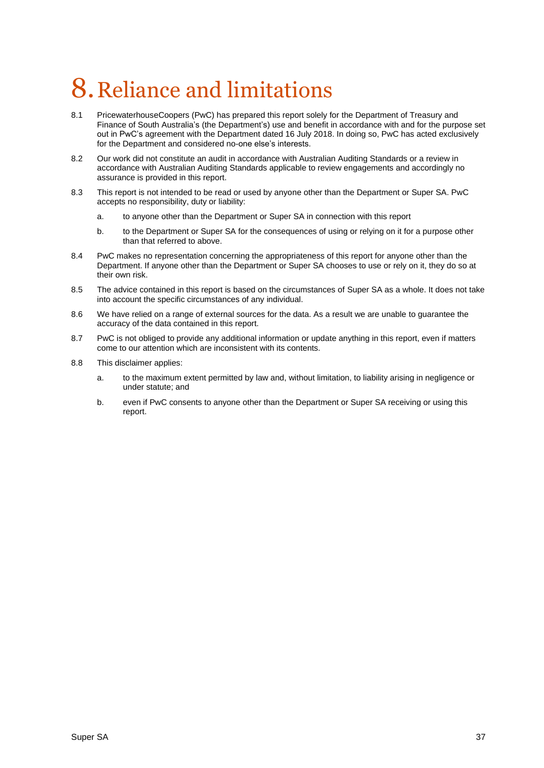# <span id="page-36-0"></span>8.Reliance and limitations

- 8.1 PricewaterhouseCoopers (PwC) has prepared this report solely for the Department of Treasury and Finance of South Australia's (the Department's) use and benefit in accordance with and for the purpose set out in PwC's agreement with the Department dated 16 July 2018. In doing so, PwC has acted exclusively for the Department and considered no-one else's interests.
- 8.2 Our work did not constitute an audit in accordance with Australian Auditing Standards or a review in accordance with Australian Auditing Standards applicable to review engagements and accordingly no assurance is provided in this report.
- 8.3 This report is not intended to be read or used by anyone other than the Department or Super SA. PwC accepts no responsibility, duty or liability:
	- a. to anyone other than the Department or Super SA in connection with this report
	- b. to the Department or Super SA for the consequences of using or relying on it for a purpose other than that referred to above.
- 8.4 PwC makes no representation concerning the appropriateness of this report for anyone other than the Department. If anyone other than the Department or Super SA chooses to use or rely on it, they do so at their own risk.
- 8.5 The advice contained in this report is based on the circumstances of Super SA as a whole. It does not take into account the specific circumstances of any individual.
- 8.6 We have relied on a range of external sources for the data. As a result we are unable to guarantee the accuracy of the data contained in this report.
- 8.7 PwC is not obliged to provide any additional information or update anything in this report, even if matters come to our attention which are inconsistent with its contents.
- 8.8 This disclaimer applies:
	- a. to the maximum extent permitted by law and, without limitation, to liability arising in negligence or under statute; and
	- b. even if PwC consents to anyone other than the Department or Super SA receiving or using this report.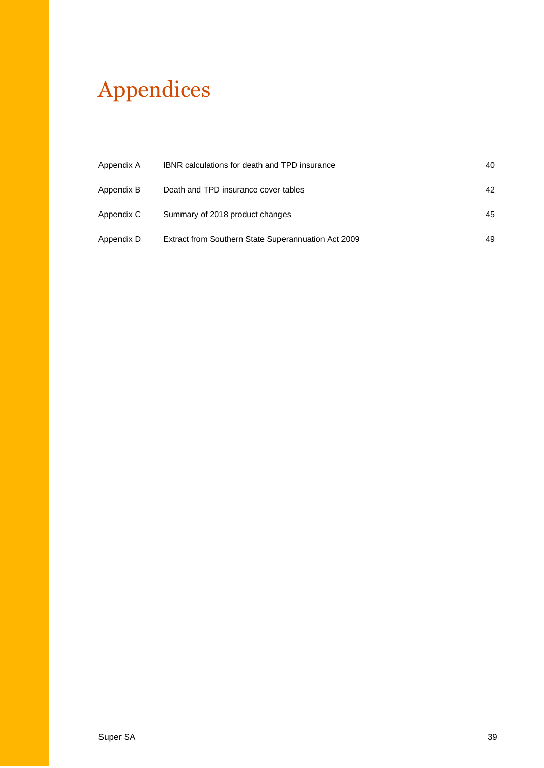# Appendices

| Appendix A | <b>IBNR</b> calculations for death and TPD insurance | 40 |
|------------|------------------------------------------------------|----|
| Appendix B | Death and TPD insurance cover tables                 | 42 |
| Appendix C | Summary of 2018 product changes                      | 45 |
| Appendix D | Extract from Southern State Superannuation Act 2009  | 49 |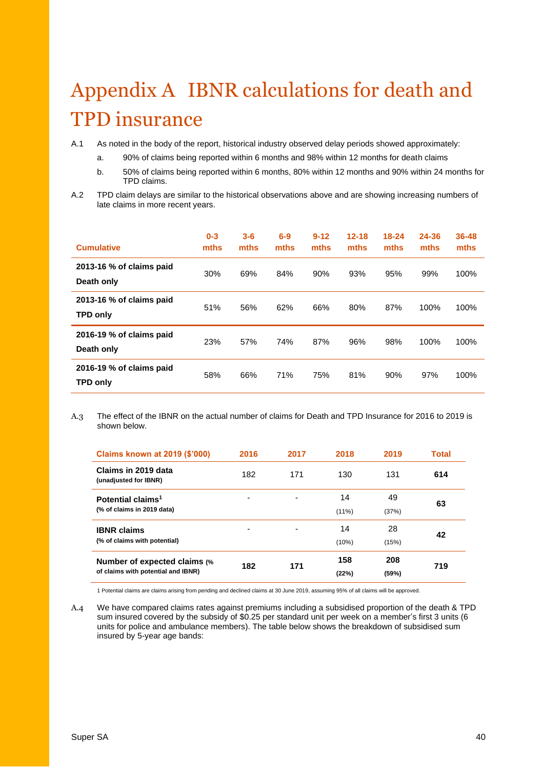## <span id="page-39-0"></span>Appendix A IBNR calculations for death and TPD insurance

A.1 As noted in the body of the report, historical industry observed delay periods showed approximately:

- a. 90% of claims being reported within 6 months and 98% within 12 months for death claims
- b. 50% of claims being reported within 6 months, 80% within 12 months and 90% within 24 months for TPD claims.
- A.2 TPD claim delays are similar to the historical observations above and are showing increasing numbers of late claims in more recent years.

| <b>Cumulative</b>                           | $0 - 3$<br>mths | $3 - 6$<br>mths | $6-9$<br>mths | $9 - 12$<br>mths | $12 - 18$<br>mths | $18 - 24$<br>mths | 24-36<br>mths | 36-48<br>mths |
|---------------------------------------------|-----------------|-----------------|---------------|------------------|-------------------|-------------------|---------------|---------------|
| 2013-16 % of claims paid<br>Death only      | 30%             | 69%             | 84%           | 90%              | 93%               | 95%               | 99%           | 100%          |
| 2013-16 % of claims paid<br><b>TPD only</b> | 51%             | 56%             | 62%           | 66%              | 80%               | 87%               | 100%          | 100%          |
| 2016-19 % of claims paid<br>Death only      | 23%             | 57%             | 74%           | 87%              | 96%               | 98%               | 100%          | 100%          |
| 2016-19 % of claims paid<br><b>TPD only</b> | 58%             | 66%             | 71%           | 75%              | 81%               | 90%               | 97%           | 100%          |

A.3 The effect of the IBNR on the actual number of claims for Death and TPD Insurance for 2016 to 2019 is shown below.

| Claims known at 2019 (\$'000)                                       | 2016 | 2017 | 2018           | 2019         | Total |
|---------------------------------------------------------------------|------|------|----------------|--------------|-------|
| Claims in 2019 data<br>(unadjusted for IBNR)                        | 182  | 171  | 130            | 131          | 614   |
| Potential claims <sup>1</sup><br>(% of claims in 2019 data)         | -    |      | 14<br>$(11\%)$ | 49<br>(37%)  | 63    |
| <b>IBNR claims</b><br>(% of claims with potential)                  |      |      | 14<br>(10%)    | 28<br>(15%)  | 42    |
| Number of expected claims (%)<br>of claims with potential and IBNR) | 182  | 171  | 158<br>(22%)   | 208<br>(59%) | 719   |

1 Potential claims are claims arising from pending and declined claims at 30 June 2019, assuming 95% of all claims will be approved.

A.4 We have compared claims rates against premiums including a subsidised proportion of the death & TPD sum insured covered by the subsidy of \$0.25 per standard unit per week on a member's first 3 units (6 units for police and ambulance members). The table below shows the breakdown of subsidised sum insured by 5-year age bands: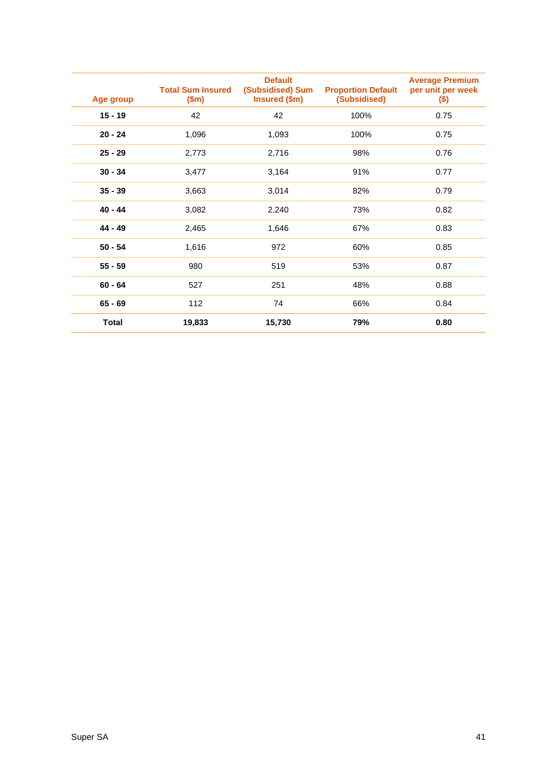| Age group    | <b>Total Sum Insured</b><br>\$m\$ | <b>Default</b><br>(Subsidised) Sum<br>Insured (\$m) | <b>Proportion Default</b><br>(Subsidised) | <b>Average Premium</b><br>per unit per week<br>\$) |
|--------------|-----------------------------------|-----------------------------------------------------|-------------------------------------------|----------------------------------------------------|
| $15 - 19$    | 42                                | 42                                                  | 100%                                      | 0.75                                               |
| $20 - 24$    | 1,096                             | 1,093                                               | 100%                                      | 0.75                                               |
| $25 - 29$    | 2,773                             | 2,716                                               | 98%                                       | 0.76                                               |
| $30 - 34$    | 3,477                             | 3,164                                               | 91%                                       | 0.77                                               |
| $35 - 39$    | 3,663                             | 3,014                                               | 82%                                       | 0.79                                               |
| $40 - 44$    | 3,082                             | 2,240                                               | 73%                                       | 0.82                                               |
| 44 - 49      | 2,465                             | 1,646                                               | 67%                                       | 0.83                                               |
| $50 - 54$    | 1,616                             | 972                                                 | 60%                                       | 0.85                                               |
| $55 - 59$    | 980                               | 519                                                 | 53%                                       | 0.87                                               |
| $60 - 64$    | 527                               | 251                                                 | 48%                                       | 0.88                                               |
| $65 - 69$    | 112                               | 74                                                  | 66%                                       | 0.84                                               |
| <b>Total</b> | 19,833                            | 15,730                                              | 79%                                       | 0.80                                               |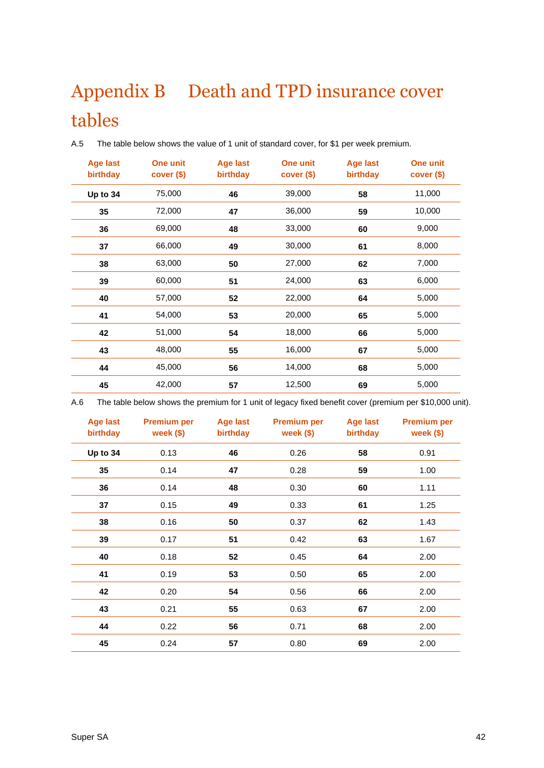## <span id="page-41-0"></span>Appendix B Death and TPD insurance cover tables

| <b>Age last</b><br>birthday | One unit<br>cover (\$) | <b>Age last</b><br>birthday | <b>One unit</b><br>cover (\$) | <b>Age last</b><br>birthday | <b>One unit</b><br>cover ( |
|-----------------------------|------------------------|-----------------------------|-------------------------------|-----------------------------|----------------------------|
| Up to 34                    | 75,000                 | 46                          | 39,000                        | 58                          | 11,000                     |
| 35                          | 72,000                 | 47                          | 36,000                        | 59                          | 10,000                     |
| 36                          | 69,000                 | 48                          | 33,000                        | 60                          | 9,000                      |
| 37                          | 66,000                 | 49                          | 30,000                        | 61                          | 8,000                      |
| 38                          | 63,000                 | 50                          | 27,000                        | 62                          | 7,000                      |
| 39                          | 60,000                 | 51                          | 24,000                        | 63                          | 6,000                      |
| 40                          | 57,000                 | 52                          | 22,000                        | 64                          | 5,000                      |
| 41                          | 54,000                 | 53                          | 20,000                        | 65                          | 5,000                      |
| 42                          | 51,000                 | 54                          | 18,000                        | 66                          | 5,000                      |
| 43                          | 48,000                 | 55                          | 16,000                        | 67                          | 5,000                      |
| 44                          | 45,000                 | 56                          | 14,000                        | 68                          | 5,000                      |
| 45                          | 42,000                 | 57                          | 12,500                        | 69                          | 5,000                      |

A.5 The table below shows the value of 1 unit of standard cover, for \$1 per week premium.

A.6 The table below shows the premium for 1 unit of legacy fixed benefit cover (premium per \$10,000 unit).

| <b>Age last</b><br>birthday | <b>Premium per</b><br>week $($ \$) | <b>Age last</b><br>birthday | <b>Premium per</b><br>week $($ \$) | <b>Age last</b><br>birthday | <b>Premium per</b><br>week $($ \$) |
|-----------------------------|------------------------------------|-----------------------------|------------------------------------|-----------------------------|------------------------------------|
| Up to 34                    | 0.13                               | 46                          | 0.26                               | 58                          | 0.91                               |
| 35                          | 0.14                               | 47                          | 0.28                               | 59                          | 1.00                               |
| 36                          | 0.14                               | 48                          | 0.30                               | 60                          | 1.11                               |
| 37                          | 0.15                               | 49                          | 0.33                               | 61                          | 1.25                               |
| 38                          | 0.16                               | 50                          | 0.37                               | 62                          | 1.43                               |
| 39                          | 0.17                               | 51                          | 0.42                               | 63                          | 1.67                               |
| 40                          | 0.18                               | 52                          | 0.45                               | 64                          | 2.00                               |
| 41                          | 0.19                               | 53                          | 0.50                               | 65                          | 2.00                               |
| 42                          | 0.20                               | 54                          | 0.56                               | 66                          | 2.00                               |
| 43                          | 0.21                               | 55                          | 0.63                               | 67                          | 2.00                               |
| 44                          | 0.22                               | 56                          | 0.71                               | 68                          | 2.00                               |
| 45                          | 0.24                               | 57                          | 0.80                               | 69                          | 2.00                               |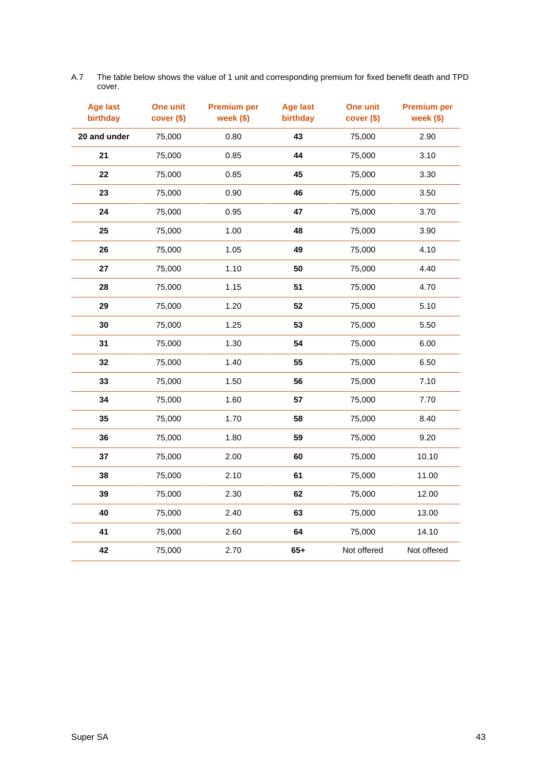| <b>Age last</b><br>birthday | One unit<br>cover (\$) | <b>Premium per</b><br>week (\$) | <b>Age last</b><br>birthday | One unit<br>cover (\$) | <b>Premium per</b><br>week (\$) |
|-----------------------------|------------------------|---------------------------------|-----------------------------|------------------------|---------------------------------|
| 20 and under                | 75,000                 | 0.80                            | 43                          | 75,000                 | 2.90                            |
| 21                          | 75,000                 | 0.85                            | 44                          | 75,000                 | 3.10                            |
| 22                          | 75,000                 | 0.85                            | 45                          | 75,000                 | 3.30                            |
| 23                          | 75,000                 | 0.90                            | 46                          | 75,000                 | 3.50                            |
| 24                          | 75,000                 | 0.95                            | 47                          | 75,000                 | 3.70                            |
| 25                          | 75,000                 | 1.00                            | 48                          | 75,000                 | 3.90                            |
| 26                          | 75,000                 | 1.05                            | 49                          | 75,000                 | 4.10                            |
| 27                          | 75,000                 | 1.10                            | 50                          | 75,000                 | 4.40                            |
| 28                          | 75,000                 | 1.15                            | 51                          | 75,000                 | 4.70                            |
| 29                          | 75,000                 | 1.20                            | 52                          | 75,000                 | 5.10                            |
| 30                          | 75,000                 | 1.25                            | 53                          | 75,000                 | 5.50                            |
| 31                          | 75,000                 | 1.30                            | 54                          | 75,000                 | 6.00                            |
| 32                          | 75,000                 | 1.40                            | 55                          | 75,000                 | 6.50                            |
| 33                          | 75,000                 | 1.50                            | 56                          | 75,000                 | 7.10                            |
| 34                          | 75,000                 | 1.60                            | 57                          | 75,000                 | 7.70                            |
| 35                          | 75,000                 | 1.70                            | 58                          | 75,000                 | 8.40                            |
| 36                          | 75,000                 | 1.80                            | 59                          | 75,000                 | 9.20                            |
| 37                          | 75,000                 | 2.00                            | 60                          | 75,000                 | 10.10                           |
| 38                          | 75,000                 | 2.10                            | 61                          | 75,000                 | 11.00                           |
| 39                          | 75,000                 | 2.30                            | 62                          | 75,000                 | 12.00                           |
| 40                          | 75,000                 | 2.40                            | 63                          | 75,000                 | 13.00                           |
| 41                          | 75,000                 | 2.60                            | 64                          | 75,000                 | 14.10                           |
| 42                          | 75,000                 | 2.70                            | $65+$                       | Not offered            | Not offered                     |

A.7 The table below shows the value of 1 unit and corresponding premium for fixed benefit death and TPD cover.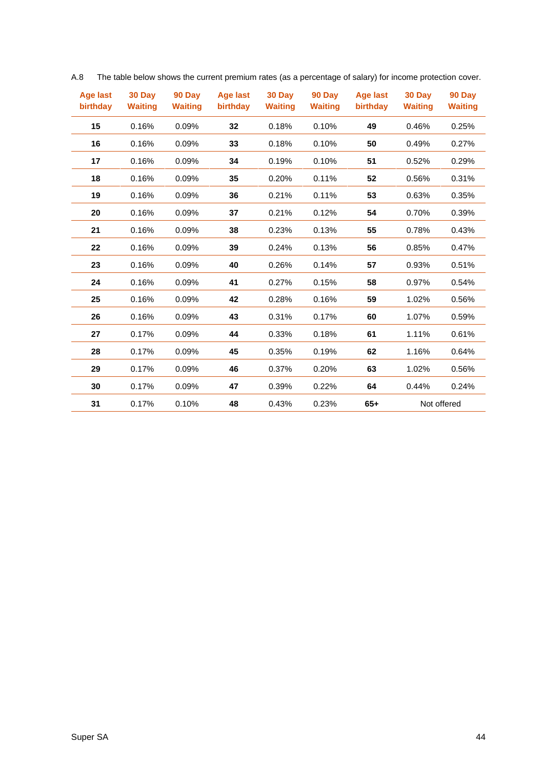| Age last<br>birthday | 30 Day<br><b>Waiting</b> | 90 Day<br><b>Waiting</b> | Age last<br>birthday | 30 Day<br><b>Waiting</b> | 90 Day<br><b>Waiting</b> | Age last<br>birthday | 30 Day<br><b>Waiting</b> | 90 Day<br><b>Waiting</b> |
|----------------------|--------------------------|--------------------------|----------------------|--------------------------|--------------------------|----------------------|--------------------------|--------------------------|
| 15                   | 0.16%                    | 0.09%                    | 32                   | 0.18%                    | 0.10%                    | 49                   | 0.46%                    | 0.25%                    |
| 16                   | 0.16%                    | 0.09%                    | 33                   | 0.18%                    | 0.10%                    | 50                   | 0.49%                    | 0.27%                    |
| 17                   | 0.16%                    | 0.09%                    | 34                   | 0.19%                    | 0.10%                    | 51                   | 0.52%                    | 0.29%                    |
| 18                   | 0.16%                    | 0.09%                    | 35                   | 0.20%                    | 0.11%                    | 52                   | 0.56%                    | 0.31%                    |
| 19                   | 0.16%                    | 0.09%                    | 36                   | 0.21%                    | 0.11%                    | 53                   | 0.63%                    | 0.35%                    |
| 20                   | 0.16%                    | 0.09%                    | 37                   | 0.21%                    | 0.12%                    | 54                   | 0.70%                    | 0.39%                    |
| 21                   | 0.16%                    | 0.09%                    | 38                   | 0.23%                    | 0.13%                    | 55                   | 0.78%                    | 0.43%                    |
| 22                   | 0.16%                    | 0.09%                    | 39                   | 0.24%                    | 0.13%                    | 56                   | 0.85%                    | 0.47%                    |
| 23                   | 0.16%                    | 0.09%                    | 40                   | 0.26%                    | 0.14%                    | 57                   | 0.93%                    | 0.51%                    |
| 24                   | 0.16%                    | 0.09%                    | 41                   | 0.27%                    | 0.15%                    | 58                   | 0.97%                    | 0.54%                    |
| 25                   | 0.16%                    | 0.09%                    | 42                   | 0.28%                    | 0.16%                    | 59                   | 1.02%                    | 0.56%                    |
| 26                   | 0.16%                    | 0.09%                    | 43                   | 0.31%                    | 0.17%                    | 60                   | 1.07%                    | 0.59%                    |
| 27                   | 0.17%                    | 0.09%                    | 44                   | 0.33%                    | 0.18%                    | 61                   | 1.11%                    | 0.61%                    |
| 28                   | 0.17%                    | 0.09%                    | 45                   | 0.35%                    | 0.19%                    | 62                   | 1.16%                    | 0.64%                    |
| 29                   | 0.17%                    | 0.09%                    | 46                   | 0.37%                    | 0.20%                    | 63                   | 1.02%                    | 0.56%                    |
| 30                   | 0.17%                    | 0.09%                    | 47                   | 0.39%                    | 0.22%                    | 64                   | 0.44%                    | 0.24%                    |
| 31                   | 0.17%                    | 0.10%                    | 48                   | 0.43%                    | 0.23%                    | $65+$                |                          | Not offered              |

A.8 The table below shows the current premium rates (as a percentage of salary) for income protection cover.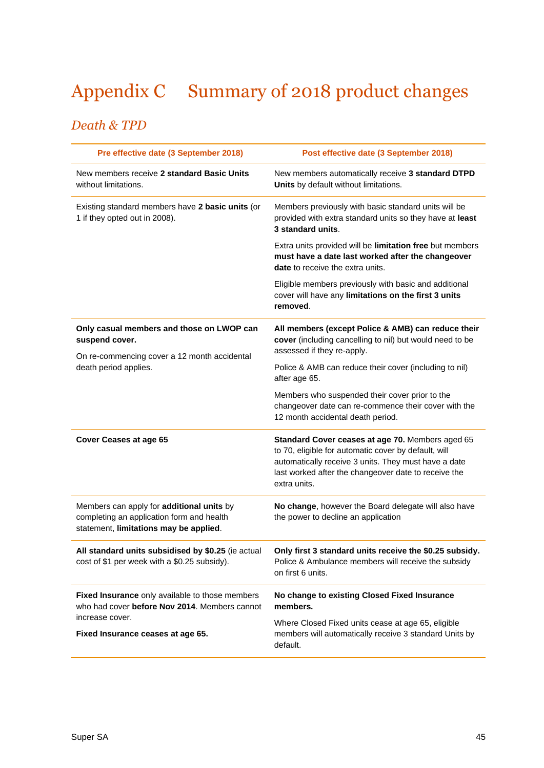## <span id="page-44-0"></span>Appendix C Summary of 2018 product changes

## *Death & TPD*

| Pre effective date (3 September 2018)                                                                                            | Post effective date (3 September 2018)                                                                                                                                                                                                   |
|----------------------------------------------------------------------------------------------------------------------------------|------------------------------------------------------------------------------------------------------------------------------------------------------------------------------------------------------------------------------------------|
| New members receive 2 standard Basic Units<br>without limitations.                                                               | New members automatically receive 3 standard DTPD<br>Units by default without limitations.                                                                                                                                               |
| Existing standard members have 2 basic units (or<br>1 if they opted out in 2008).                                                | Members previously with basic standard units will be<br>provided with extra standard units so they have at least<br>3 standard units.                                                                                                    |
|                                                                                                                                  | Extra units provided will be limitation free but members<br>must have a date last worked after the changeover<br><b>date</b> to receive the extra units.                                                                                 |
|                                                                                                                                  | Eligible members previously with basic and additional<br>cover will have any limitations on the first 3 units<br>removed.                                                                                                                |
| Only casual members and those on LWOP can<br>suspend cover.<br>On re-commencing cover a 12 month accidental                      | All members (except Police & AMB) can reduce their<br>cover (including cancelling to nil) but would need to be<br>assessed if they re-apply.                                                                                             |
| death period applies.                                                                                                            | Police & AMB can reduce their cover (including to nil)<br>after age 65.                                                                                                                                                                  |
|                                                                                                                                  | Members who suspended their cover prior to the<br>changeover date can re-commence their cover with the<br>12 month accidental death period.                                                                                              |
| Cover Ceases at age 65                                                                                                           | Standard Cover ceases at age 70. Members aged 65<br>to 70, eligible for automatic cover by default, will<br>automatically receive 3 units. They must have a date<br>last worked after the changeover date to receive the<br>extra units. |
| Members can apply for additional units by<br>completing an application form and health<br>statement, limitations may be applied. | No change, however the Board delegate will also have<br>the power to decline an application                                                                                                                                              |
| All standard units subsidised by \$0.25 (ie actual<br>cost of \$1 per week with a \$0.25 subsidy).                               | Only first 3 standard units receive the \$0.25 subsidy.<br>Police & Ambulance members will receive the subsidy<br>on first 6 units.                                                                                                      |
| Fixed Insurance only available to those members<br>who had cover before Nov 2014. Members cannot                                 | No change to existing Closed Fixed Insurance<br>members.                                                                                                                                                                                 |
| increase cover.<br>Fixed Insurance ceases at age 65.                                                                             | Where Closed Fixed units cease at age 65, eligible<br>members will automatically receive 3 standard Units by<br>default.                                                                                                                 |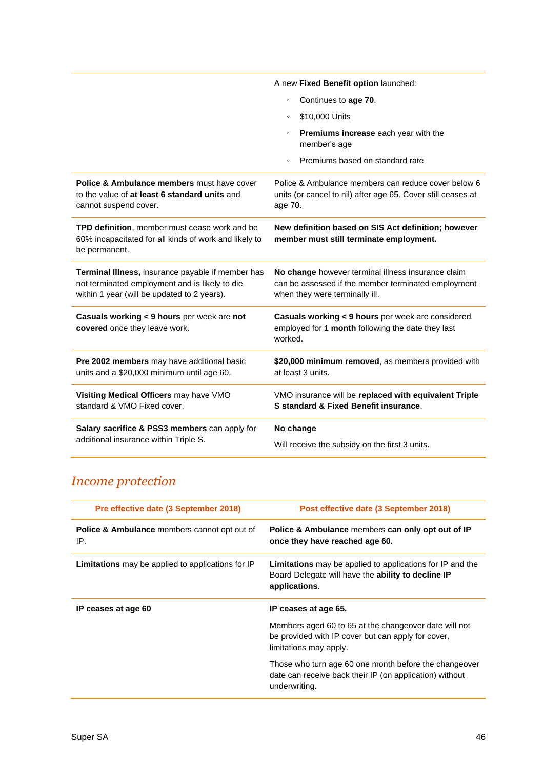|                                                                                                                                                    | A new Fixed Benefit option launched:                                                                                                        |
|----------------------------------------------------------------------------------------------------------------------------------------------------|---------------------------------------------------------------------------------------------------------------------------------------------|
|                                                                                                                                                    | Continues to age 70.<br>$\circ$                                                                                                             |
|                                                                                                                                                    | \$10,000 Units<br>$\circ$                                                                                                                   |
|                                                                                                                                                    | Premiums increase each year with the<br>$\circ$<br>member's age                                                                             |
|                                                                                                                                                    | Premiums based on standard rate<br>$\circ$                                                                                                  |
| <b>Police &amp; Ambulance members must have cover</b><br>to the value of at least 6 standard units and<br>cannot suspend cover.                    | Police & Ambulance members can reduce cover below 6<br>units (or cancel to nil) after age 65. Cover still ceases at<br>age 70.              |
| TPD definition, member must cease work and be<br>60% incapacitated for all kinds of work and likely to<br>be permanent.                            | New definition based on SIS Act definition; however<br>member must still terminate employment.                                              |
| Terminal Illness, insurance payable if member has<br>not terminated employment and is likely to die<br>within 1 year (will be updated to 2 years). | No change however terminal illness insurance claim<br>can be assessed if the member terminated employment<br>when they were terminally ill. |
| Casuals working < 9 hours per week are not<br>covered once they leave work.                                                                        | Casuals working < 9 hours per week are considered<br>employed for 1 month following the date they last<br>worked.                           |
| Pre 2002 members may have additional basic<br>units and a \$20,000 minimum until age 60.                                                           | \$20,000 minimum removed, as members provided with<br>at least 3 units.                                                                     |
| Visiting Medical Officers may have VMO<br>standard & VMO Fixed cover.                                                                              | VMO insurance will be replaced with equivalent Triple<br><b>S</b> standard & Fixed Benefit insurance.                                       |
| Salary sacrifice & PSS3 members can apply for<br>additional insurance within Triple S.                                                             | No change<br>Will receive the subsidy on the first 3 units.                                                                                 |

## *Income protection*

| Pre effective date (3 September 2018)                          | Post effective date (3 September 2018)                                                                                                  |
|----------------------------------------------------------------|-----------------------------------------------------------------------------------------------------------------------------------------|
| <b>Police &amp; Ambulance</b> members cannot opt out of<br>IP. | Police & Ambulance members can only opt out of IP<br>once they have reached age 60.                                                     |
| <b>Limitations</b> may be applied to applications for IP       | <b>Limitations</b> may be applied to applications for IP and the<br>Board Delegate will have the ability to decline IP<br>applications. |
| IP ceases at age 60                                            | IP ceases at age 65.                                                                                                                    |
|                                                                | Members aged 60 to 65 at the changeover date will not<br>be provided with IP cover but can apply for cover,<br>limitations may apply.   |
|                                                                | Those who turn age 60 one month before the changeover<br>date can receive back their IP (on application) without<br>underwriting.       |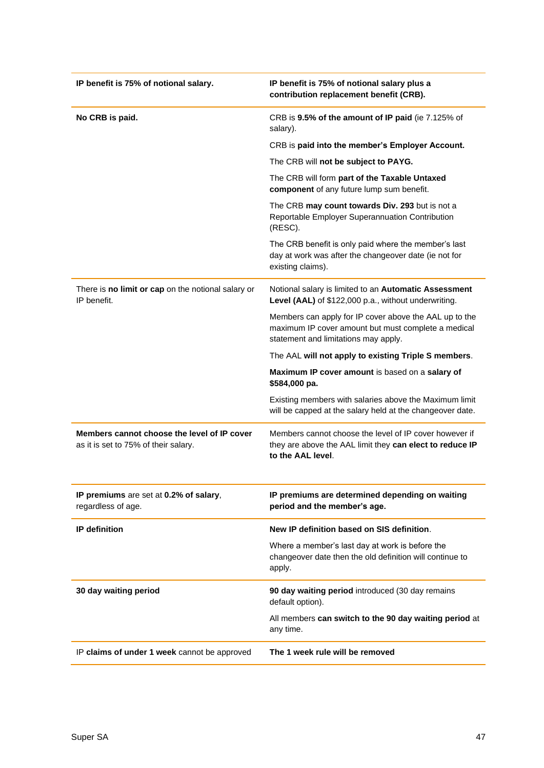| IP benefit is 75% of notional salary.                                               | IP benefit is 75% of notional salary plus a<br>contribution replacement benefit (CRB).                                                                |
|-------------------------------------------------------------------------------------|-------------------------------------------------------------------------------------------------------------------------------------------------------|
| No CRB is paid.                                                                     | CRB is 9.5% of the amount of IP paid (ie 7.125% of<br>salary).                                                                                        |
|                                                                                     | CRB is paid into the member's Employer Account.                                                                                                       |
|                                                                                     | The CRB will not be subject to PAYG.                                                                                                                  |
|                                                                                     | The CRB will form part of the Taxable Untaxed<br>component of any future lump sum benefit.                                                            |
|                                                                                     | The CRB may count towards Div. 293 but is not a<br>Reportable Employer Superannuation Contribution<br>(RESC).                                         |
|                                                                                     | The CRB benefit is only paid where the member's last<br>day at work was after the changeover date (ie not for<br>existing claims).                    |
| There is no limit or cap on the notional salary or<br>IP benefit.                   | Notional salary is limited to an Automatic Assessment<br>Level (AAL) of \$122,000 p.a., without underwriting.                                         |
|                                                                                     | Members can apply for IP cover above the AAL up to the<br>maximum IP cover amount but must complete a medical<br>statement and limitations may apply. |
|                                                                                     | The AAL will not apply to existing Triple S members.                                                                                                  |
|                                                                                     | Maximum IP cover amount is based on a salary of<br>\$584,000 pa.                                                                                      |
|                                                                                     | Existing members with salaries above the Maximum limit<br>will be capped at the salary held at the changeover date.                                   |
| Members cannot choose the level of IP cover<br>as it is set to 75% of their salary. | Members cannot choose the level of IP cover however if<br>they are above the AAL limit they can elect to reduce IP<br>to the AAL level.               |
| IP premiums are set at 0.2% of salary,<br>regardless of age.                        | IP premiums are determined depending on waiting<br>period and the member's age.                                                                       |
| <b>IP</b> definition                                                                | New IP definition based on SIS definition.                                                                                                            |
|                                                                                     | Where a member's last day at work is before the<br>changeover date then the old definition will continue to<br>apply.                                 |
| 30 day waiting period                                                               | 90 day waiting period introduced (30 day remains<br>default option).                                                                                  |
|                                                                                     | All members can switch to the 90 day waiting period at<br>any time.                                                                                   |
| IP claims of under 1 week cannot be approved                                        | The 1 week rule will be removed                                                                                                                       |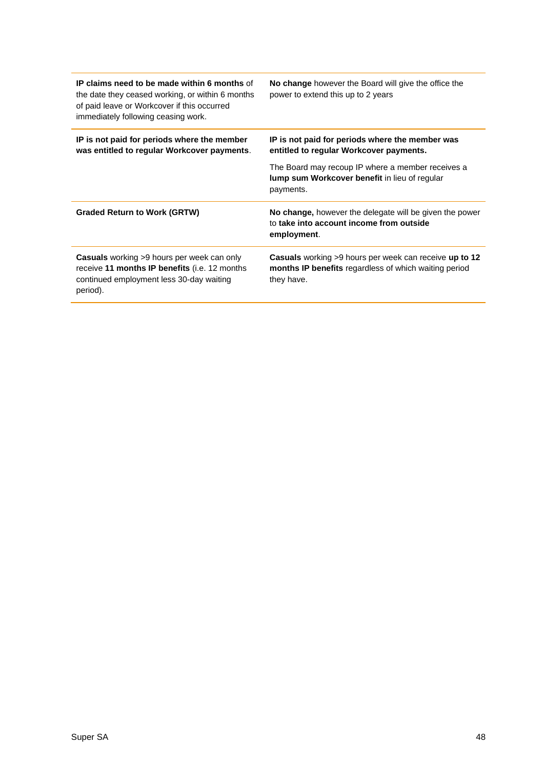<span id="page-47-0"></span>

| IP claims need to be made within 6 months of<br>the date they ceased working, or within 6 months<br>of paid leave or Workcover if this occurred<br>immediately following ceasing work. | No change however the Board will give the office the<br>power to extend this up to 2 years                                           |
|----------------------------------------------------------------------------------------------------------------------------------------------------------------------------------------|--------------------------------------------------------------------------------------------------------------------------------------|
| IP is not paid for periods where the member<br>was entitled to regular Workcover payments.                                                                                             | IP is not paid for periods where the member was<br>entitled to regular Workcover payments.                                           |
|                                                                                                                                                                                        | The Board may recoup IP where a member receives a<br>lump sum Workcover benefit in lieu of regular<br>payments.                      |
| <b>Graded Return to Work (GRTW)</b>                                                                                                                                                    | No change, however the delegate will be given the power<br>to take into account income from outside<br>employment.                   |
| <b>Casuals</b> working >9 hours per week can only<br>receive 11 months IP benefits (i.e. 12 months<br>continued employment less 30-day waiting<br>period).                             | <b>Casuals</b> working >9 hours per week can receive up to 12<br>months IP benefits regardless of which waiting period<br>they have. |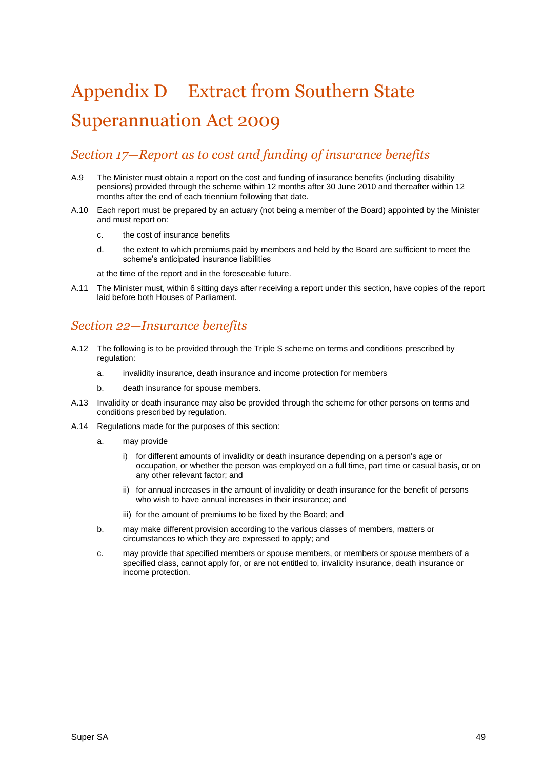## Appendix D Extract from Southern State Superannuation Act 2009

### *Section 17—Report as to cost and funding of insurance benefits*

- A.9 The Minister must obtain a report on the cost and funding of insurance benefits (including disability pensions) provided through the scheme within 12 months after 30 June 2010 and thereafter within 12 months after the end of each triennium following that date.
- A.10 Each report must be prepared by an actuary (not being a member of the Board) appointed by the Minister and must report on:
	- c. the cost of insurance benefits
	- d. the extent to which premiums paid by members and held by the Board are sufficient to meet the scheme's anticipated insurance liabilities

at the time of the report and in the foreseeable future.

A.11 The Minister must, within 6 sitting days after receiving a report under this section, have copies of the report laid before both Houses of Parliament.

### *Section 22—Insurance benefits*

- A.12 The following is to be provided through the Triple S scheme on terms and conditions prescribed by regulation:
	- a. invalidity insurance, death insurance and income protection for members
	- b. death insurance for spouse members.
- A.13 Invalidity or death insurance may also be provided through the scheme for other persons on terms and conditions prescribed by regulation.
- A.14 Regulations made for the purposes of this section:
	- a. may provide
		- i) for different amounts of invalidity or death insurance depending on a person's age or occupation, or whether the person was employed on a full time, part time or casual basis, or on any other relevant factor; and
		- ii) for annual increases in the amount of invalidity or death insurance for the benefit of persons who wish to have annual increases in their insurance; and
		- iii) for the amount of premiums to be fixed by the Board; and
	- b. may make different provision according to the various classes of members, matters or circumstances to which they are expressed to apply; and
	- c. may provide that specified members or spouse members, or members or spouse members of a specified class, cannot apply for, or are not entitled to, invalidity insurance, death insurance or income protection.